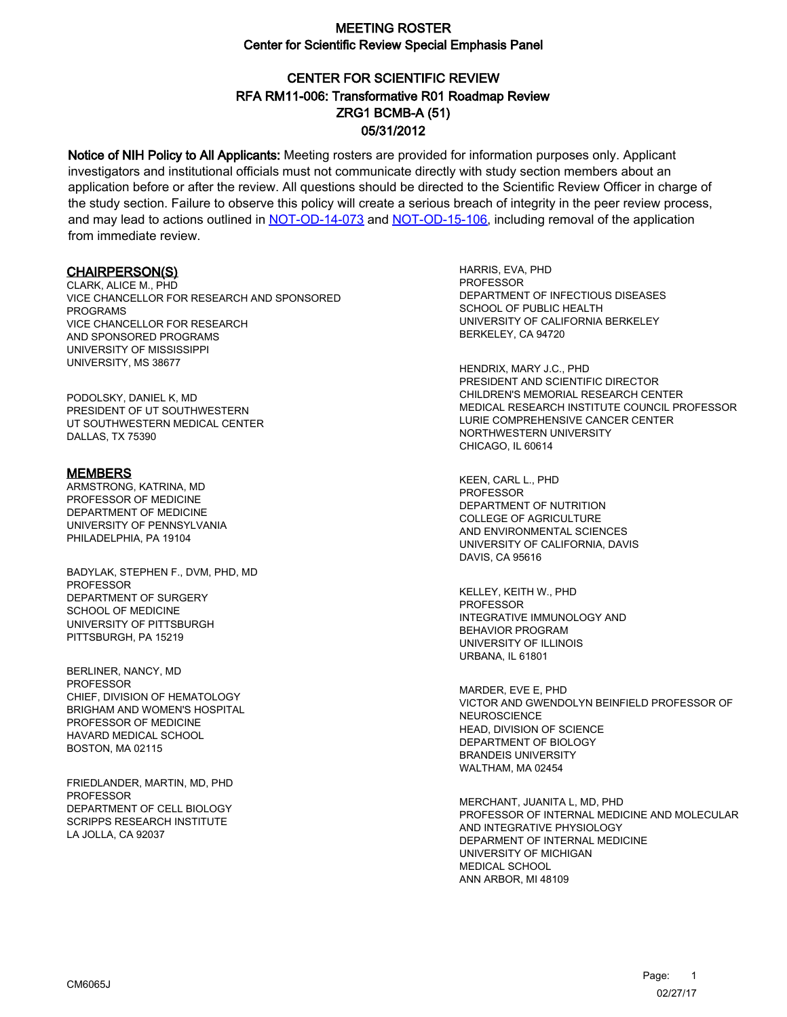# CENTER FOR SCIENTIFIC REVIEW ZRG1 BCMB-A (51) 05/31/2012 RFA RM11-006: Transformative R01 Roadmap Review

Notice of NIH Policy to All Applicants: Meeting rosters are provided for information purposes only. Applicant investigators and institutional officials must not communicate directly with study section members about an application before or after the review. All questions should be directed to the Scientific Review Officer in charge of the study section. Failure to observe this policy will create a serious breach of integrity in the peer review process, and may lead to actions outlined in [NOT-OD-14-073](https://grants.nih.gov/grants/guide/notice-files/NOT-OD-14-073.html) and [NOT-OD-15-106,](https://grants.nih.gov/grants/guide/notice-files/NOT-OD-15-106.html) including removal of the application from immediate review.

#### CHAIRPERSON(S)

CLARK, ALICE M., PHD VICE CHANCELLOR FOR RESEARCH AND SPONSORED PROGRAMS VICE CHANCELLOR FOR RESEARCH AND SPONSORED PROGRAMS UNIVERSITY OF MISSISSIPPI UNIVERSITY, MS 38677

PODOLSKY, DANIEL K, MD PRESIDENT OF UT SOUTHWESTERN UT SOUTHWESTERN MEDICAL CENTER DALLAS, TX 75390

#### MEMBERS

ARMSTRONG, KATRINA, MD PROFESSOR OF MEDICINE DEPARTMENT OF MEDICINE UNIVERSITY OF PENNSYLVANIA PHILADELPHIA, PA 19104

BADYLAK, STEPHEN F., DVM, PHD, MD PROFESSOR DEPARTMENT OF SURGERY SCHOOL OF MEDICINE UNIVERSITY OF PITTSBURGH PITTSBURGH, PA 15219

BERLINER, NANCY, MD PROFESSOR CHIEF, DIVISION OF HEMATOLOGY BRIGHAM AND WOMEN'S HOSPITAL PROFESSOR OF MEDICINE HAVARD MEDICAL SCHOOL BOSTON, MA 02115

FRIEDLANDER, MARTIN, MD, PHD PROFESSOR DEPARTMENT OF CELL BIOLOGY SCRIPPS RESEARCH INSTITUTE LA JOLLA, CA 92037

HARRIS, EVA, PHD **PROFESSOR** DEPARTMENT OF INFECTIOUS DISEASES SCHOOL OF PUBLIC HEALTH UNIVERSITY OF CALIFORNIA BERKELEY BERKELEY, CA 94720

HENDRIX, MARY J.C., PHD PRESIDENT AND SCIENTIFIC DIRECTOR CHILDREN'S MEMORIAL RESEARCH CENTER MEDICAL RESEARCH INSTITUTE COUNCIL PROFESSOR LURIE COMPREHENSIVE CANCER CENTER NORTHWESTERN UNIVERSITY CHICAGO, IL 60614

KEEN, CARL L., PHD **PROFESSOR** DEPARTMENT OF NUTRITION COLLEGE OF AGRICULTURE AND ENVIRONMENTAL SCIENCES UNIVERSITY OF CALIFORNIA, DAVIS DAVIS, CA 95616

KELLEY, KEITH W., PHD PROFESSOR INTEGRATIVE IMMUNOLOGY AND BEHAVIOR PROGRAM UNIVERSITY OF ILLINOIS URBANA, IL 61801

MARDER, EVE E, PHD VICTOR AND GWENDOLYN BEINFIELD PROFESSOR OF NEUROSCIENCE HEAD, DIVISION OF SCIENCE DEPARTMENT OF BIOLOGY BRANDEIS UNIVERSITY WALTHAM, MA 02454

MERCHANT, JUANITA L, MD, PHD PROFESSOR OF INTERNAL MEDICINE AND MOLECULAR AND INTEGRATIVE PHYSIOLOGY DEPARMENT OF INTERNAL MEDICINE UNIVERSITY OF MICHIGAN MEDICAL SCHOOL ANN ARBOR, MI 48109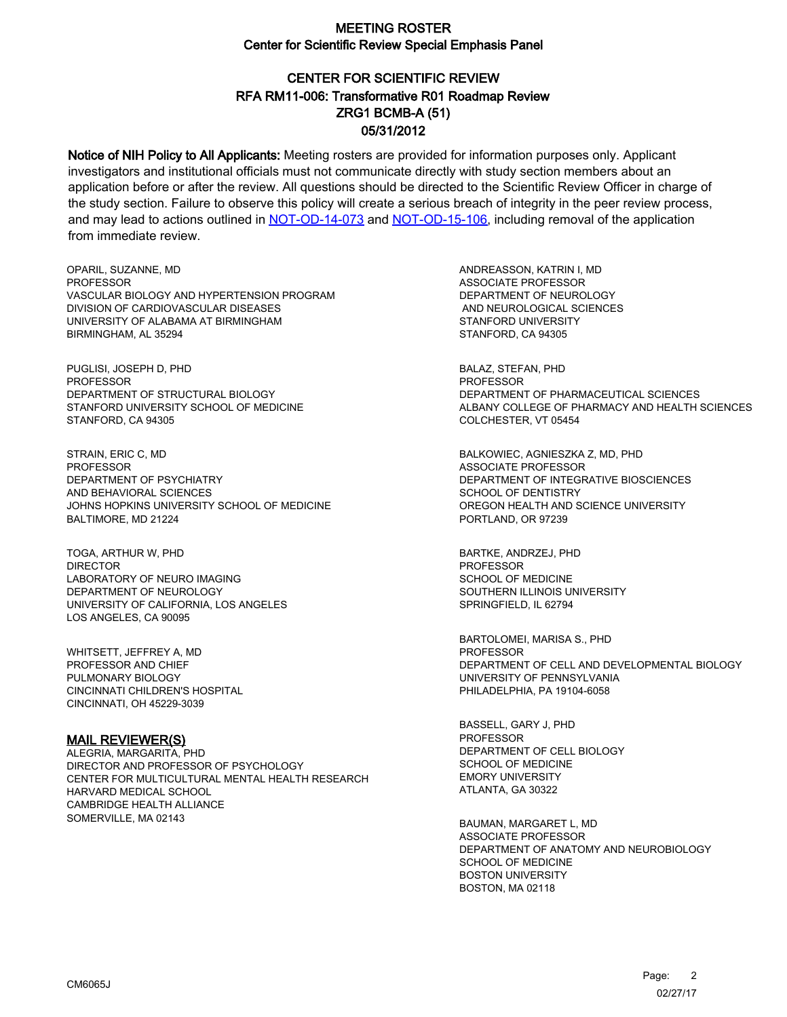# CENTER FOR SCIENTIFIC REVIEW ZRG1 BCMB-A (51) 05/31/2012 RFA RM11-006: Transformative R01 Roadmap Review

Notice of NIH Policy to All Applicants: Meeting rosters are provided for information purposes only. Applicant investigators and institutional officials must not communicate directly with study section members about an application before or after the review. All questions should be directed to the Scientific Review Officer in charge of the study section. Failure to observe this policy will create a serious breach of integrity in the peer review process, and may lead to actions outlined in [NOT-OD-14-073](https://grants.nih.gov/grants/guide/notice-files/NOT-OD-14-073.html) and [NOT-OD-15-106,](https://grants.nih.gov/grants/guide/notice-files/NOT-OD-15-106.html) including removal of the application from immediate review.

OPARIL, SUZANNE, MD **PROFESSOR** VASCULAR BIOLOGY AND HYPERTENSION PROGRAM DIVISION OF CARDIOVASCULAR DISEASES UNIVERSITY OF ALABAMA AT BIRMINGHAM BIRMINGHAM, AL 35294

PUGLISI, JOSEPH D, PHD PROFESSOR DEPARTMENT OF STRUCTURAL BIOLOGY STANFORD UNIVERSITY SCHOOL OF MEDICINE STANFORD, CA 94305

STRAIN, ERIC C, MD PROFESSOR DEPARTMENT OF PSYCHIATRY AND BEHAVIORAL SCIENCES JOHNS HOPKINS UNIVERSITY SCHOOL OF MEDICINE BALTIMORE, MD 21224

TOGA, ARTHUR W, PHD **DIRECTOR** LABORATORY OF NEURO IMAGING DEPARTMENT OF NEUROLOGY UNIVERSITY OF CALIFORNIA, LOS ANGELES LOS ANGELES, CA 90095

WHITSETT, JEFFREY A, MD PROFESSOR AND CHIEF PULMONARY BIOLOGY CINCINNATI CHILDREN'S HOSPITAL CINCINNATI, OH 45229-3039

#### MAIL REVIEWER(S)

ALEGRIA, MARGARITA, PHD DIRECTOR AND PROFESSOR OF PSYCHOLOGY CENTER FOR MULTICULTURAL MENTAL HEALTH RESEARCH HARVARD MEDICAL SCHOOL CAMBRIDGE HEALTH ALLIANCE SOMERVILLE, MA 02143

ANDREASSON, KATRIN I, MD ASSOCIATE PROFESSOR DEPARTMENT OF NEUROLOGY AND NEUROLOGICAL SCIENCES STANFORD UNIVERSITY STANFORD, CA 94305

BALAZ, STEFAN, PHD PROFESSOR DEPARTMENT OF PHARMACEUTICAL SCIENCES ALBANY COLLEGE OF PHARMACY AND HEALTH SCIENCES COLCHESTER, VT 05454

BALKOWIEC, AGNIESZKA Z, MD, PHD ASSOCIATE PROFESSOR DEPARTMENT OF INTEGRATIVE BIOSCIENCES SCHOOL OF DENTISTRY OREGON HEALTH AND SCIENCE UNIVERSITY PORTLAND, OR 97239

BARTKE, ANDRZEJ, PHD PROFESSOR SCHOOL OF MEDICINE SOUTHERN ILLINOIS UNIVERSITY SPRINGFIELD, IL 62794

BARTOLOMEI, MARISA S., PHD PROFESSOR DEPARTMENT OF CELL AND DEVELOPMENTAL BIOLOGY UNIVERSITY OF PENNSYLVANIA PHILADELPHIA, PA 19104-6058

BASSELL, GARY J, PHD PROFESSOR DEPARTMENT OF CELL BIOLOGY SCHOOL OF MEDICINE EMORY UNIVERSITY ATLANTA, GA 30322

BAUMAN, MARGARET L, MD ASSOCIATE PROFESSOR DEPARTMENT OF ANATOMY AND NEUROBIOLOGY SCHOOL OF MEDICINE BOSTON UNIVERSITY BOSTON, MA 02118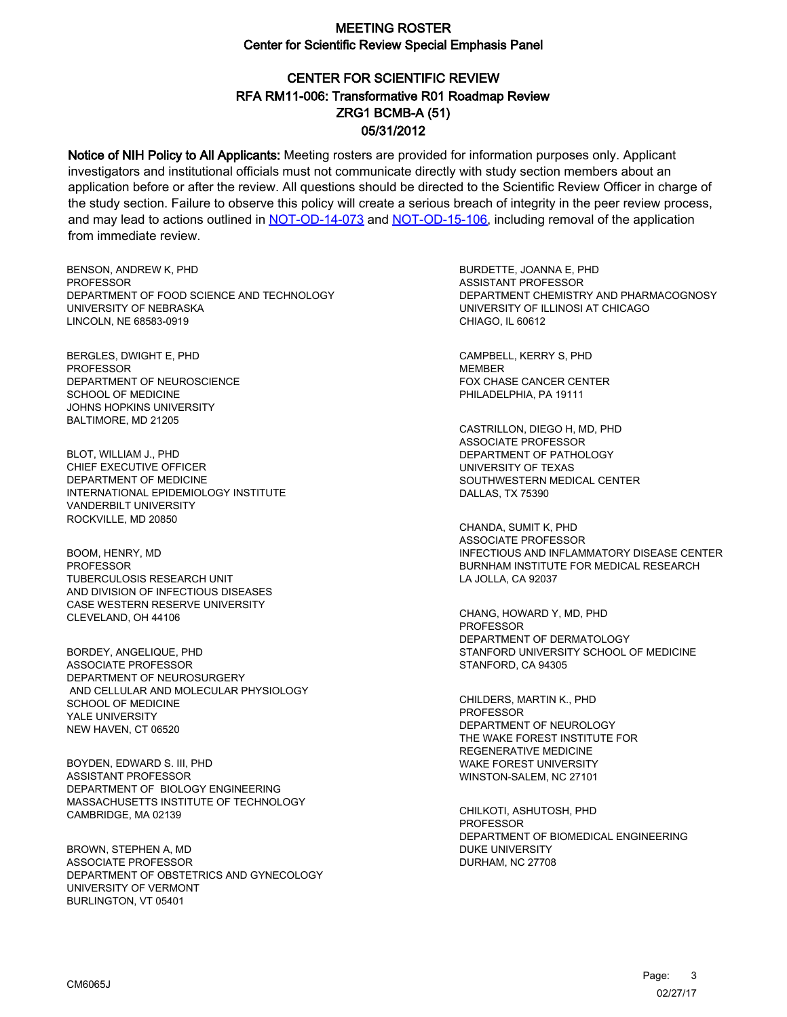# CENTER FOR SCIENTIFIC REVIEW ZRG1 BCMB-A (51) 05/31/2012 RFA RM11-006: Transformative R01 Roadmap Review

Notice of NIH Policy to All Applicants: Meeting rosters are provided for information purposes only. Applicant investigators and institutional officials must not communicate directly with study section members about an application before or after the review. All questions should be directed to the Scientific Review Officer in charge of the study section. Failure to observe this policy will create a serious breach of integrity in the peer review process, and may lead to actions outlined in [NOT-OD-14-073](https://grants.nih.gov/grants/guide/notice-files/NOT-OD-14-073.html) and [NOT-OD-15-106,](https://grants.nih.gov/grants/guide/notice-files/NOT-OD-15-106.html) including removal of the application from immediate review.

BENSON, ANDREW K, PHD **PROFESSOR** DEPARTMENT OF FOOD SCIENCE AND TECHNOLOGY UNIVERSITY OF NEBRASKA LINCOLN, NE 68583-0919

BERGLES, DWIGHT E, PHD PROFESSOR DEPARTMENT OF NEUROSCIENCE SCHOOL OF MEDICINE JOHNS HOPKINS UNIVERSITY BALTIMORE, MD 21205

BLOT, WILLIAM J., PHD CHIEF EXECUTIVE OFFICER DEPARTMENT OF MEDICINE INTERNATIONAL EPIDEMIOLOGY INSTITUTE VANDERBILT UNIVERSITY ROCKVILLE, MD 20850

BOOM, HENRY, MD PROFESSOR TUBERCULOSIS RESEARCH UNIT AND DIVISION OF INFECTIOUS DISEASES CASE WESTERN RESERVE UNIVERSITY CLEVELAND, OH 44106

BORDEY, ANGELIQUE, PHD ASSOCIATE PROFESSOR DEPARTMENT OF NEUROSURGERY AND CELLULAR AND MOLECULAR PHYSIOLOGY SCHOOL OF MEDICINE YALE UNIVERSITY NEW HAVEN, CT 06520

BOYDEN, EDWARD S. III, PHD ASSISTANT PROFESSOR DEPARTMENT OF BIOLOGY ENGINEERING MASSACHUSETTS INSTITUTE OF TECHNOLOGY CAMBRIDGE, MA 02139

BROWN, STEPHEN A, MD ASSOCIATE PROFESSOR DEPARTMENT OF OBSTETRICS AND GYNECOLOGY UNIVERSITY OF VERMONT BURLINGTON, VT 05401

BURDETTE, JOANNA E, PHD ASSISTANT PROFESSOR DEPARTMENT CHEMISTRY AND PHARMACOGNOSY UNIVERSITY OF ILLINOSI AT CHICAGO CHIAGO, IL 60612

CAMPBELL, KERRY S, PHD MEMBER FOX CHASE CANCER CENTER PHILADELPHIA, PA 19111

CASTRILLON, DIEGO H, MD, PHD ASSOCIATE PROFESSOR DEPARTMENT OF PATHOLOGY UNIVERSITY OF TEXAS SOUTHWESTERN MEDICAL CENTER DALLAS, TX 75390

CHANDA, SUMIT K, PHD ASSOCIATE PROFESSOR INFECTIOUS AND INFLAMMATORY DISEASE CENTER BURNHAM INSTITUTE FOR MEDICAL RESEARCH LA JOLLA, CA 92037

CHANG, HOWARD Y, MD, PHD PROFESSOR DEPARTMENT OF DERMATOLOGY STANFORD UNIVERSITY SCHOOL OF MEDICINE STANFORD, CA 94305

CHILDERS, MARTIN K., PHD PROFESSOR DEPARTMENT OF NEUROLOGY THE WAKE FOREST INSTITUTE FOR REGENERATIVE MEDICINE WAKE FOREST UNIVERSITY WINSTON-SALEM, NC 27101

CHILKOTI, ASHUTOSH, PHD PROFESSOR DEPARTMENT OF BIOMEDICAL ENGINEERING DUKE UNIVERSITY DURHAM, NC 27708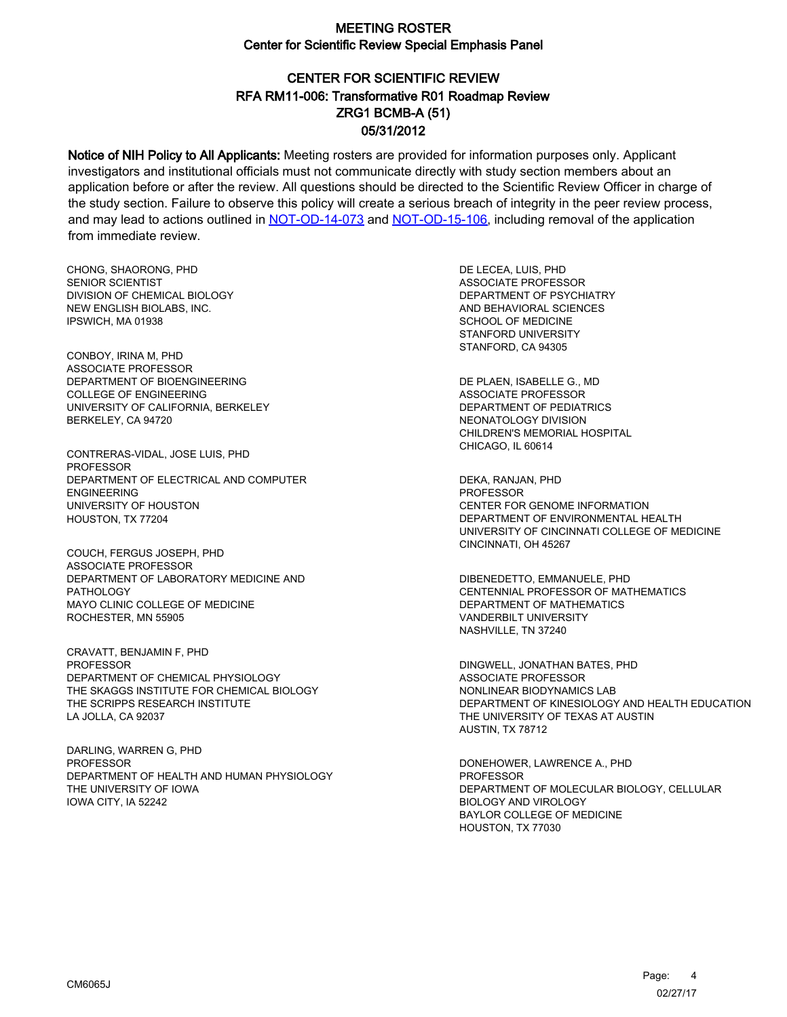# CENTER FOR SCIENTIFIC REVIEW ZRG1 BCMB-A (51) 05/31/2012 RFA RM11-006: Transformative R01 Roadmap Review

Notice of NIH Policy to All Applicants: Meeting rosters are provided for information purposes only. Applicant investigators and institutional officials must not communicate directly with study section members about an application before or after the review. All questions should be directed to the Scientific Review Officer in charge of the study section. Failure to observe this policy will create a serious breach of integrity in the peer review process, and may lead to actions outlined in [NOT-OD-14-073](https://grants.nih.gov/grants/guide/notice-files/NOT-OD-14-073.html) and [NOT-OD-15-106,](https://grants.nih.gov/grants/guide/notice-files/NOT-OD-15-106.html) including removal of the application from immediate review.

CHONG, SHAORONG, PHD SENIOR SCIENTIST DIVISION OF CHEMICAL BIOLOGY NEW ENGLISH BIOLABS, INC. IPSWICH, MA 01938

CONBOY, IRINA M, PHD ASSOCIATE PROFESSOR DEPARTMENT OF BIOENGINEERING COLLEGE OF ENGINEERING UNIVERSITY OF CALIFORNIA, BERKELEY BERKELEY, CA 94720

CONTRERAS-VIDAL, JOSE LUIS, PHD PROFESSOR DEPARTMENT OF ELECTRICAL AND COMPUTER ENGINEERING UNIVERSITY OF HOUSTON HOUSTON, TX 77204

COUCH, FERGUS JOSEPH, PHD ASSOCIATE PROFESSOR DEPARTMENT OF LABORATORY MEDICINE AND PATHOLOGY MAYO CLINIC COLLEGE OF MEDICINE ROCHESTER, MN 55905

CRAVATT, BENJAMIN F, PHD PROFESSOR DEPARTMENT OF CHEMICAL PHYSIOLOGY THE SKAGGS INSTITUTE FOR CHEMICAL BIOLOGY THE SCRIPPS RESEARCH INSTITUTE LA JOLLA, CA 92037

DARLING, WARREN G, PHD PROFESSOR DEPARTMENT OF HEALTH AND HUMAN PHYSIOLOGY THE UNIVERSITY OF IOWA IOWA CITY, IA 52242

DE LECEA, LUIS, PHD ASSOCIATE PROFESSOR DEPARTMENT OF PSYCHIATRY AND BEHAVIORAL SCIENCES SCHOOL OF MEDICINE STANFORD UNIVERSITY STANFORD, CA 94305

DE PLAEN, ISABELLE G., MD ASSOCIATE PROFESSOR DEPARTMENT OF PEDIATRICS NEONATOLOGY DIVISION CHILDREN'S MEMORIAL HOSPITAL CHICAGO, IL 60614

DEKA, RANJAN, PHD **PROFESSOR** CENTER FOR GENOME INFORMATION DEPARTMENT OF ENVIRONMENTAL HEALTH UNIVERSITY OF CINCINNATI COLLEGE OF MEDICINE CINCINNATI, OH 45267

DIBENEDETTO, EMMANUELE, PHD CENTENNIAL PROFESSOR OF MATHEMATICS DEPARTMENT OF MATHEMATICS VANDERBILT UNIVERSITY NASHVILLE, TN 37240

DINGWELL, JONATHAN BATES, PHD ASSOCIATE PROFESSOR NONLINEAR BIODYNAMICS LAB DEPARTMENT OF KINESIOLOGY AND HEALTH EDUCATION THE UNIVERSITY OF TEXAS AT AUSTIN AUSTIN, TX 78712

DONEHOWER, LAWRENCE A., PHD **PROFESSOR** DEPARTMENT OF MOLECULAR BIOLOGY, CELLULAR BIOLOGY AND VIROLOGY BAYLOR COLLEGE OF MEDICINE HOUSTON, TX 77030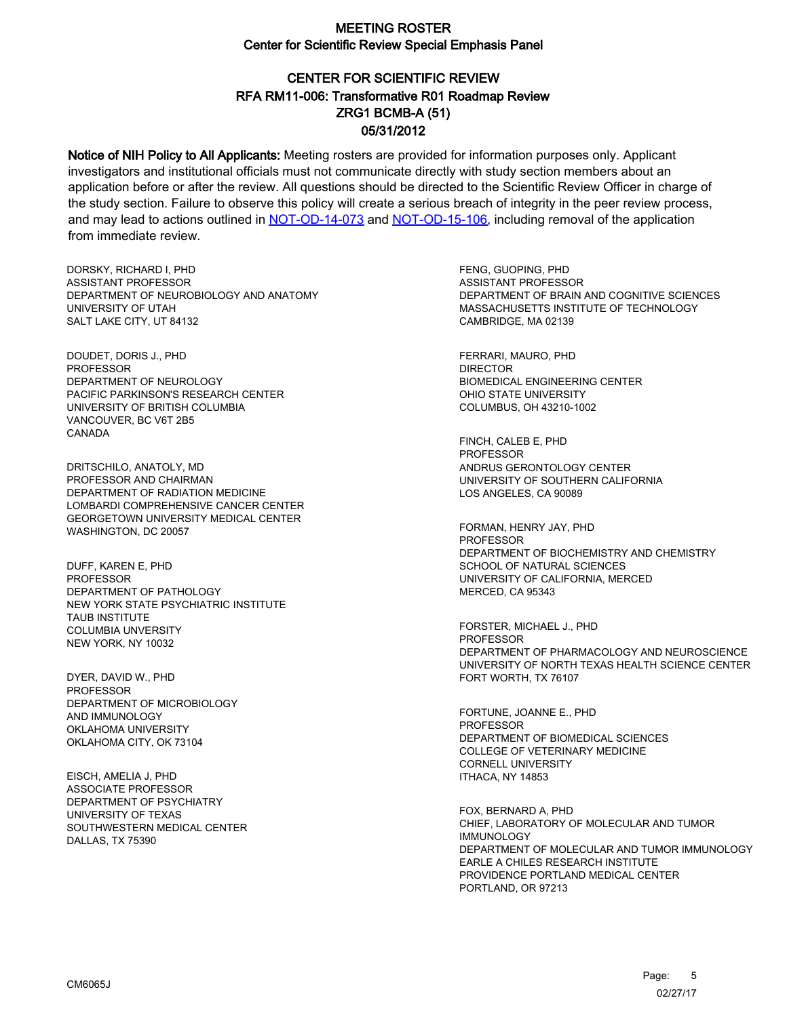# CENTER FOR SCIENTIFIC REVIEW ZRG1 BCMB-A (51) 05/31/2012 RFA RM11-006: Transformative R01 Roadmap Review

Notice of NIH Policy to All Applicants: Meeting rosters are provided for information purposes only. Applicant investigators and institutional officials must not communicate directly with study section members about an application before or after the review. All questions should be directed to the Scientific Review Officer in charge of the study section. Failure to observe this policy will create a serious breach of integrity in the peer review process, and may lead to actions outlined in [NOT-OD-14-073](https://grants.nih.gov/grants/guide/notice-files/NOT-OD-14-073.html) and [NOT-OD-15-106,](https://grants.nih.gov/grants/guide/notice-files/NOT-OD-15-106.html) including removal of the application from immediate review.

DORSKY, RICHARD I, PHD ASSISTANT PROFESSOR DEPARTMENT OF NEUROBIOLOGY AND ANATOMY UNIVERSITY OF UTAH SALT LAKE CITY, UT 84132

DOUDET, DORIS J., PHD PROFESSOR DEPARTMENT OF NEUROLOGY PACIFIC PARKINSON'S RESEARCH CENTER UNIVERSITY OF BRITISH COLUMBIA VANCOUVER, BC V6T 2B5 CANADA

DRITSCHILO, ANATOLY, MD PROFESSOR AND CHAIRMAN DEPARTMENT OF RADIATION MEDICINE LOMBARDI COMPREHENSIVE CANCER CENTER GEORGETOWN UNIVERSITY MEDICAL CENTER WASHINGTON, DC 20057

DUFF, KAREN E, PHD **PROFESSOR** DEPARTMENT OF PATHOLOGY NEW YORK STATE PSYCHIATRIC INSTITUTE TAUB INSTITUTE COLUMBIA UNVERSITY NEW YORK, NY 10032

DYER, DAVID W., PHD PROFESSOR DEPARTMENT OF MICROBIOLOGY AND IMMUNOLOGY OKLAHOMA UNIVERSITY OKLAHOMA CITY, OK 73104

EISCH, AMELIA J, PHD ASSOCIATE PROFESSOR DEPARTMENT OF PSYCHIATRY UNIVERSITY OF TEXAS SOUTHWESTERN MEDICAL CENTER DALLAS, TX 75390

FENG, GUOPING, PHD ASSISTANT PROFESSOR DEPARTMENT OF BRAIN AND COGNITIVE SCIENCES MASSACHUSETTS INSTITUTE OF TECHNOLOGY CAMBRIDGE, MA 02139

FERRARI, MAURO, PHD DIRECTOR BIOMEDICAL ENGINEERING CENTER OHIO STATE UNIVERSITY COLUMBUS, OH 43210-1002

FINCH, CALEB E, PHD **PROFESSOR** ANDRUS GERONTOLOGY CENTER UNIVERSITY OF SOUTHERN CALIFORNIA LOS ANGELES, CA 90089

FORMAN, HENRY JAY, PHD **PROFESSOR** DEPARTMENT OF BIOCHEMISTRY AND CHEMISTRY SCHOOL OF NATURAL SCIENCES UNIVERSITY OF CALIFORNIA, MERCED MERCED, CA 95343

FORSTER, MICHAEL J., PHD PROFESSOR DEPARTMENT OF PHARMACOLOGY AND NEUROSCIENCE UNIVERSITY OF NORTH TEXAS HEALTH SCIENCE CENTER FORT WORTH, TX 76107

FORTUNE, JOANNE E., PHD PROFESSOR DEPARTMENT OF BIOMEDICAL SCIENCES COLLEGE OF VETERINARY MEDICINE CORNELL UNIVERSITY ITHACA, NY 14853

FOX, BERNARD A, PHD CHIEF, LABORATORY OF MOLECULAR AND TUMOR IMMUNOLOGY DEPARTMENT OF MOLECULAR AND TUMOR IMMUNOLOGY EARLE A CHILES RESEARCH INSTITUTE PROVIDENCE PORTLAND MEDICAL CENTER PORTLAND, OR 97213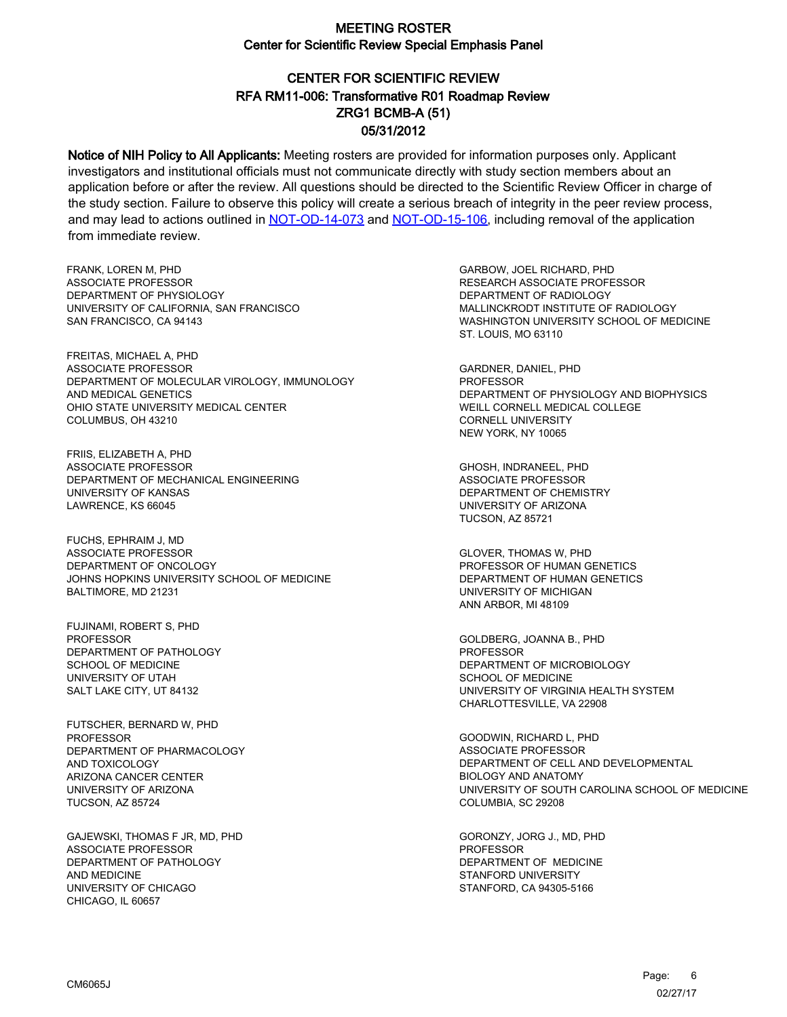# CENTER FOR SCIENTIFIC REVIEW ZRG1 BCMB-A (51) 05/31/2012 RFA RM11-006: Transformative R01 Roadmap Review

Notice of NIH Policy to All Applicants: Meeting rosters are provided for information purposes only. Applicant investigators and institutional officials must not communicate directly with study section members about an application before or after the review. All questions should be directed to the Scientific Review Officer in charge of the study section. Failure to observe this policy will create a serious breach of integrity in the peer review process, and may lead to actions outlined in [NOT-OD-14-073](https://grants.nih.gov/grants/guide/notice-files/NOT-OD-14-073.html) and [NOT-OD-15-106,](https://grants.nih.gov/grants/guide/notice-files/NOT-OD-15-106.html) including removal of the application from immediate review.

FRANK, LOREN M, PHD ASSOCIATE PROFESSOR DEPARTMENT OF PHYSIOLOGY UNIVERSITY OF CALIFORNIA, SAN FRANCISCO SAN FRANCISCO, CA 94143

FREITAS, MICHAEL A, PHD ASSOCIATE PROFESSOR DEPARTMENT OF MOLECULAR VIROLOGY, IMMUNOLOGY AND MEDICAL GENETICS OHIO STATE UNIVERSITY MEDICAL CENTER COLUMBUS, OH 43210

FRIIS, ELIZABETH A, PHD ASSOCIATE PROFESSOR DEPARTMENT OF MECHANICAL ENGINEERING UNIVERSITY OF KANSAS LAWRENCE, KS 66045

FUCHS, EPHRAIM J, MD ASSOCIATE PROFESSOR DEPARTMENT OF ONCOLOGY JOHNS HOPKINS UNIVERSITY SCHOOL OF MEDICINE BALTIMORE, MD 21231

FUJINAMI, ROBERT S, PHD PROFESSOR DEPARTMENT OF PATHOLOGY SCHOOL OF MEDICINE UNIVERSITY OF UTAH SALT LAKE CITY, UT 84132

FUTSCHER, BERNARD W, PHD PROFESSOR DEPARTMENT OF PHARMACOLOGY AND TOXICOLOGY ARIZONA CANCER CENTER UNIVERSITY OF ARIZONA TUCSON, AZ 85724

GAJEWSKI, THOMAS F JR, MD, PHD ASSOCIATE PROFESSOR DEPARTMENT OF PATHOLOGY AND MEDICINE UNIVERSITY OF CHICAGO CHICAGO, IL 60657

GARBOW, JOEL RICHARD, PHD RESEARCH ASSOCIATE PROFESSOR DEPARTMENT OF RADIOLOGY MALLINCKRODT INSTITUTE OF RADIOLOGY WASHINGTON UNIVERSITY SCHOOL OF MEDICINE ST. LOUIS, MO 63110

GARDNER, DANIEL, PHD PROFESSOR DEPARTMENT OF PHYSIOLOGY AND BIOPHYSICS WEILL CORNELL MEDICAL COLLEGE CORNELL UNIVERSITY NEW YORK, NY 10065

GHOSH, INDRANEEL, PHD ASSOCIATE PROFESSOR DEPARTMENT OF CHEMISTRY UNIVERSITY OF ARIZONA TUCSON, AZ 85721

GLOVER, THOMAS W, PHD PROFESSOR OF HUMAN GENETICS DEPARTMENT OF HUMAN GENETICS UNIVERSITY OF MICHIGAN ANN ARBOR, MI 48109

GOLDBERG, JOANNA B., PHD PROFESSOR DEPARTMENT OF MICROBIOLOGY SCHOOL OF MEDICINE UNIVERSITY OF VIRGINIA HEALTH SYSTEM CHARLOTTESVILLE, VA 22908

GOODWIN, RICHARD L, PHD ASSOCIATE PROFESSOR DEPARTMENT OF CELL AND DEVELOPMENTAL BIOLOGY AND ANATOMY UNIVERSITY OF SOUTH CAROLINA SCHOOL OF MEDICINE COLUMBIA, SC 29208

GORONZY, JORG J., MD, PHD PROFESSOR DEPARTMENT OF MEDICINE STANFORD UNIVERSITY STANFORD, CA 94305-5166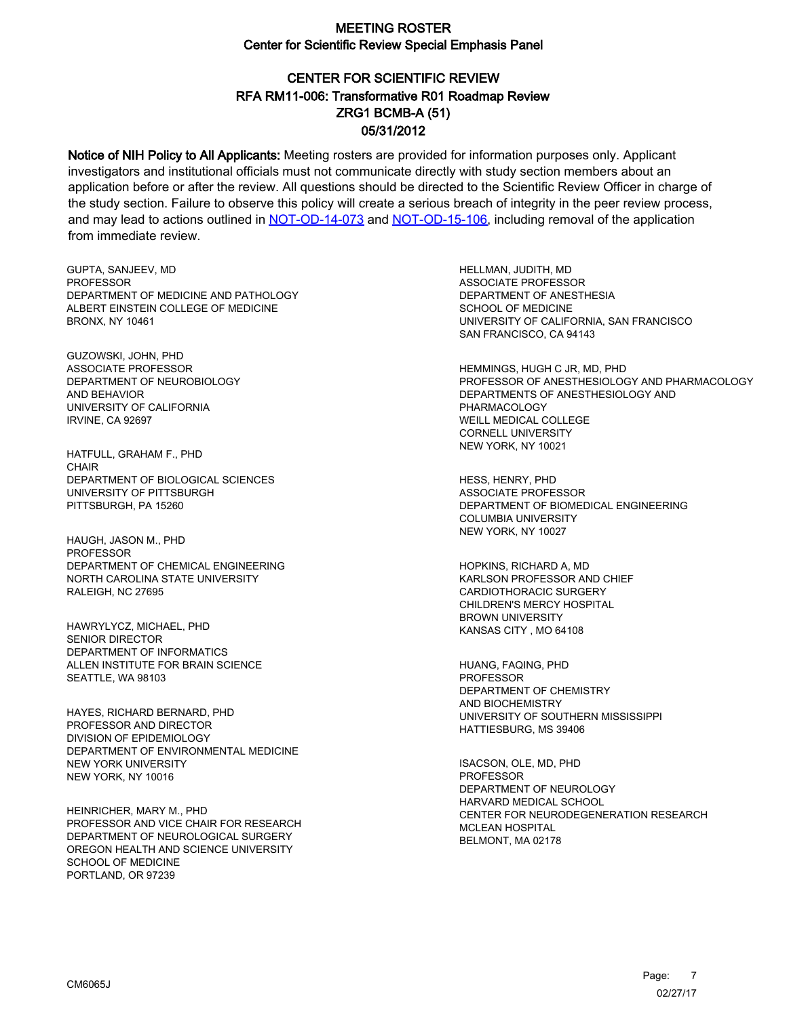# CENTER FOR SCIENTIFIC REVIEW ZRG1 BCMB-A (51) 05/31/2012 RFA RM11-006: Transformative R01 Roadmap Review

Notice of NIH Policy to All Applicants: Meeting rosters are provided for information purposes only. Applicant investigators and institutional officials must not communicate directly with study section members about an application before or after the review. All questions should be directed to the Scientific Review Officer in charge of the study section. Failure to observe this policy will create a serious breach of integrity in the peer review process, and may lead to actions outlined in [NOT-OD-14-073](https://grants.nih.gov/grants/guide/notice-files/NOT-OD-14-073.html) and [NOT-OD-15-106,](https://grants.nih.gov/grants/guide/notice-files/NOT-OD-15-106.html) including removal of the application from immediate review.

GUPTA, SANJEEV, MD **PROFESSOR** DEPARTMENT OF MEDICINE AND PATHOLOGY ALBERT EINSTEIN COLLEGE OF MEDICINE BRONX, NY 10461

GUZOWSKI, JOHN, PHD ASSOCIATE PROFESSOR DEPARTMENT OF NEUROBIOLOGY AND BEHAVIOR UNIVERSITY OF CALIFORNIA IRVINE, CA 92697

HATFULL, GRAHAM F., PHD CHAIR DEPARTMENT OF BIOLOGICAL SCIENCES UNIVERSITY OF PITTSBURGH PITTSBURGH, PA 15260

HAUGH, JASON M., PHD PROFESSOR DEPARTMENT OF CHEMICAL ENGINEERING NORTH CAROLINA STATE UNIVERSITY RALEIGH, NC 27695

HAWRYLYCZ, MICHAEL, PHD SENIOR DIRECTOR DEPARTMENT OF INFORMATICS ALLEN INSTITUTE FOR BRAIN SCIENCE SEATTLE, WA 98103

HAYES, RICHARD BERNARD, PHD PROFESSOR AND DIRECTOR DIVISION OF EPIDEMIOLOGY DEPARTMENT OF ENVIRONMENTAL MEDICINE NEW YORK UNIVERSITY NEW YORK, NY 10016

HEINRICHER, MARY M., PHD PROFESSOR AND VICE CHAIR FOR RESEARCH DEPARTMENT OF NEUROLOGICAL SURGERY OREGON HEALTH AND SCIENCE UNIVERSITY SCHOOL OF MEDICINE PORTLAND, OR 97239

HELLMAN, JUDITH, MD ASSOCIATE PROFESSOR DEPARTMENT OF ANESTHESIA SCHOOL OF MEDICINE UNIVERSITY OF CALIFORNIA, SAN FRANCISCO SAN FRANCISCO, CA 94143

HEMMINGS, HUGH C JR, MD, PHD PROFESSOR OF ANESTHESIOLOGY AND PHARMACOLOGY DEPARTMENTS OF ANESTHESIOLOGY AND PHARMACOLOGY WEILL MEDICAL COLLEGE CORNELL UNIVERSITY NEW YORK, NY 10021

HESS, HENRY, PHD ASSOCIATE PROFESSOR DEPARTMENT OF BIOMEDICAL ENGINEERING COLUMBIA UNIVERSITY NEW YORK, NY 10027

HOPKINS, RICHARD A, MD KARLSON PROFESSOR AND CHIEF CARDIOTHORACIC SURGERY CHILDREN'S MERCY HOSPITAL BROWN UNIVERSITY KANSAS CITY , MO 64108

HUANG, FAQING, PHD PROFESSOR DEPARTMENT OF CHEMISTRY AND BIOCHEMISTRY UNIVERSITY OF SOUTHERN MISSISSIPPI HATTIESBURG, MS 39406

ISACSON, OLE, MD, PHD **PROFESSOR** DEPARTMENT OF NEUROLOGY HARVARD MEDICAL SCHOOL CENTER FOR NEURODEGENERATION RESEARCH MCLEAN HOSPITAL BELMONT, MA 02178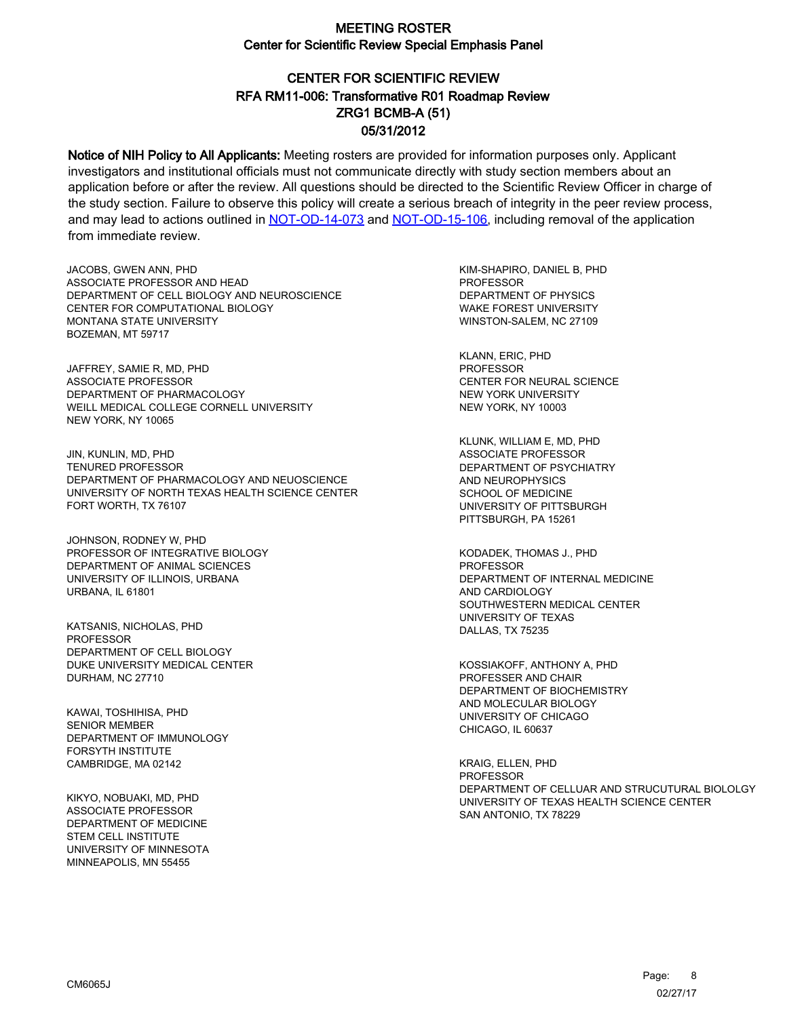# CENTER FOR SCIENTIFIC REVIEW ZRG1 BCMB-A (51) 05/31/2012 RFA RM11-006: Transformative R01 Roadmap Review

Notice of NIH Policy to All Applicants: Meeting rosters are provided for information purposes only. Applicant investigators and institutional officials must not communicate directly with study section members about an application before or after the review. All questions should be directed to the Scientific Review Officer in charge of the study section. Failure to observe this policy will create a serious breach of integrity in the peer review process, and may lead to actions outlined in [NOT-OD-14-073](https://grants.nih.gov/grants/guide/notice-files/NOT-OD-14-073.html) and [NOT-OD-15-106,](https://grants.nih.gov/grants/guide/notice-files/NOT-OD-15-106.html) including removal of the application from immediate review.

JACOBS, GWEN ANN, PHD ASSOCIATE PROFESSOR AND HEAD DEPARTMENT OF CELL BIOLOGY AND NEUROSCIENCE CENTER FOR COMPUTATIONAL BIOLOGY MONTANA STATE UNIVERSITY BOZEMAN, MT 59717

JAFFREY, SAMIE R, MD, PHD ASSOCIATE PROFESSOR DEPARTMENT OF PHARMACOLOGY WEILL MEDICAL COLLEGE CORNELL UNIVERSITY NEW YORK, NY 10065

JIN, KUNLIN, MD, PHD TENURED PROFESSOR DEPARTMENT OF PHARMACOLOGY AND NEUOSCIENCE UNIVERSITY OF NORTH TEXAS HEALTH SCIENCE CENTER FORT WORTH, TX 76107

JOHNSON, RODNEY W, PHD PROFESSOR OF INTEGRATIVE BIOLOGY DEPARTMENT OF ANIMAL SCIENCES UNIVERSITY OF ILLINOIS, URBANA URBANA, IL 61801

KATSANIS, NICHOLAS, PHD PROFESSOR DEPARTMENT OF CELL BIOLOGY DUKE UNIVERSITY MEDICAL CENTER DURHAM, NC 27710

KAWAI, TOSHIHISA, PHD SENIOR MEMBER DEPARTMENT OF IMMUNOLOGY FORSYTH INSTITUTE CAMBRIDGE, MA 02142

KIKYO, NOBUAKI, MD, PHD ASSOCIATE PROFESSOR DEPARTMENT OF MEDICINE STEM CELL INSTITUTE UNIVERSITY OF MINNESOTA MINNEAPOLIS, MN 55455

KIM-SHAPIRO, DANIEL B, PHD **PROFESSOR** DEPARTMENT OF PHYSICS WAKE FOREST UNIVERSITY WINSTON-SALEM, NC 27109

KLANN, ERIC, PHD PROFESSOR CENTER FOR NEURAL SCIENCE NEW YORK UNIVERSITY NEW YORK, NY 10003

KLUNK, WILLIAM E, MD, PHD ASSOCIATE PROFESSOR DEPARTMENT OF PSYCHIATRY AND NEUROPHYSICS SCHOOL OF MEDICINE UNIVERSITY OF PITTSBURGH PITTSBURGH, PA 15261

KODADEK, THOMAS J., PHD PROFESSOR DEPARTMENT OF INTERNAL MEDICINE AND CARDIOLOGY SOUTHWESTERN MEDICAL CENTER UNIVERSITY OF TEXAS DALLAS, TX 75235

KOSSIAKOFF, ANTHONY A, PHD PROFESSER AND CHAIR DEPARTMENT OF BIOCHEMISTRY AND MOLECULAR BIOLOGY UNIVERSITY OF CHICAGO CHICAGO, IL 60637

KRAIG, ELLEN, PHD **PROFESSOR** DEPARTMENT OF CELLUAR AND STRUCUTURAL BIOLOLGY UNIVERSITY OF TEXAS HEALTH SCIENCE CENTER SAN ANTONIO, TX 78229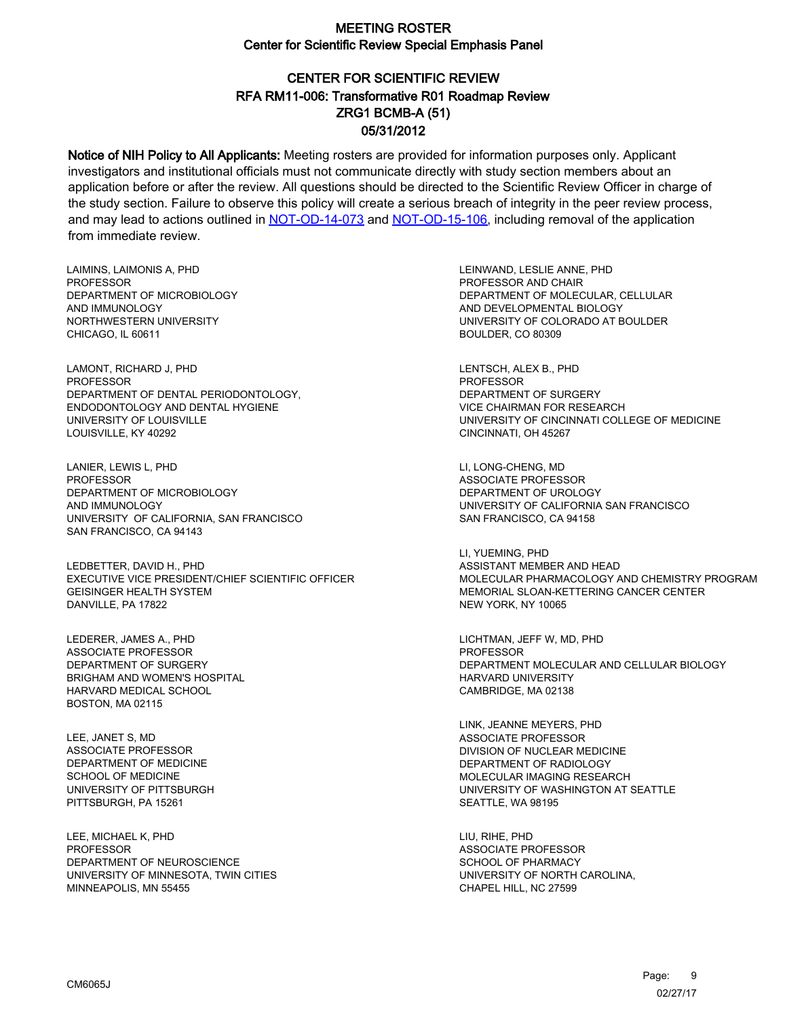# CENTER FOR SCIENTIFIC REVIEW ZRG1 BCMB-A (51) 05/31/2012 RFA RM11-006: Transformative R01 Roadmap Review

Notice of NIH Policy to All Applicants: Meeting rosters are provided for information purposes only. Applicant investigators and institutional officials must not communicate directly with study section members about an application before or after the review. All questions should be directed to the Scientific Review Officer in charge of the study section. Failure to observe this policy will create a serious breach of integrity in the peer review process, and may lead to actions outlined in [NOT-OD-14-073](https://grants.nih.gov/grants/guide/notice-files/NOT-OD-14-073.html) and [NOT-OD-15-106,](https://grants.nih.gov/grants/guide/notice-files/NOT-OD-15-106.html) including removal of the application from immediate review.

LAIMINS, LAIMONIS A, PHD PROFESSOR DEPARTMENT OF MICROBIOLOGY AND IMMUNOLOGY NORTHWESTERN UNIVERSITY CHICAGO, IL 60611

LAMONT, RICHARD J, PHD PROFESSOR DEPARTMENT OF DENTAL PERIODONTOLOGY, ENDODONTOLOGY AND DENTAL HYGIENE UNIVERSITY OF LOUISVILLE LOUISVILLE, KY 40292

LANIER, LEWIS L, PHD **PROFESSOR** DEPARTMENT OF MICROBIOLOGY AND IMMUNOLOGY UNIVERSITY OF CALIFORNIA, SAN FRANCISCO SAN FRANCISCO, CA 94143

LEDBETTER, DAVID H., PHD EXECUTIVE VICE PRESIDENT/CHIEF SCIENTIFIC OFFICER GEISINGER HEALTH SYSTEM DANVILLE, PA 17822

LEDERER, JAMES A., PHD ASSOCIATE PROFESSOR DEPARTMENT OF SURGERY BRIGHAM AND WOMEN'S HOSPITAL HARVARD MEDICAL SCHOOL BOSTON, MA 02115

LEE, JANET S, MD ASSOCIATE PROFESSOR DEPARTMENT OF MEDICINE SCHOOL OF MEDICINE UNIVERSITY OF PITTSBURGH PITTSBURGH, PA 15261

LEE, MICHAEL K, PHD PROFESSOR DEPARTMENT OF NEUROSCIENCE UNIVERSITY OF MINNESOTA, TWIN CITIES MINNEAPOLIS, MN 55455

LEINWAND, LESLIE ANNE, PHD PROFESSOR AND CHAIR DEPARTMENT OF MOLECULAR, CELLULAR AND DEVELOPMENTAL BIOLOGY UNIVERSITY OF COLORADO AT BOULDER BOULDER, CO 80309

LENTSCH, ALEX B., PHD PROFESSOR DEPARTMENT OF SURGERY VICE CHAIRMAN FOR RESEARCH UNIVERSITY OF CINCINNATI COLLEGE OF MEDICINE CINCINNATI, OH 45267

LI, LONG-CHENG, MD ASSOCIATE PROFESSOR DEPARTMENT OF UROLOGY UNIVERSITY OF CALIFORNIA SAN FRANCISCO SAN FRANCISCO, CA 94158

LI, YUEMING, PHD ASSISTANT MEMBER AND HEAD MOLECULAR PHARMACOLOGY AND CHEMISTRY PROGRAM MEMORIAL SLOAN-KETTERING CANCER CENTER NEW YORK, NY 10065

LICHTMAN, JEFF W, MD, PHD PROFESSOR DEPARTMENT MOLECULAR AND CELLULAR BIOLOGY HARVARD UNIVERSITY CAMBRIDGE, MA 02138

LINK, JEANNE MEYERS, PHD ASSOCIATE PROFESSOR DIVISION OF NUCLEAR MEDICINE DEPARTMENT OF RADIOLOGY MOLECULAR IMAGING RESEARCH UNIVERSITY OF WASHINGTON AT SEATTLE SEATTLE, WA 98195

LIU, RIHE, PHD ASSOCIATE PROFESSOR SCHOOL OF PHARMACY UNIVERSITY OF NORTH CAROLINA, CHAPEL HILL, NC 27599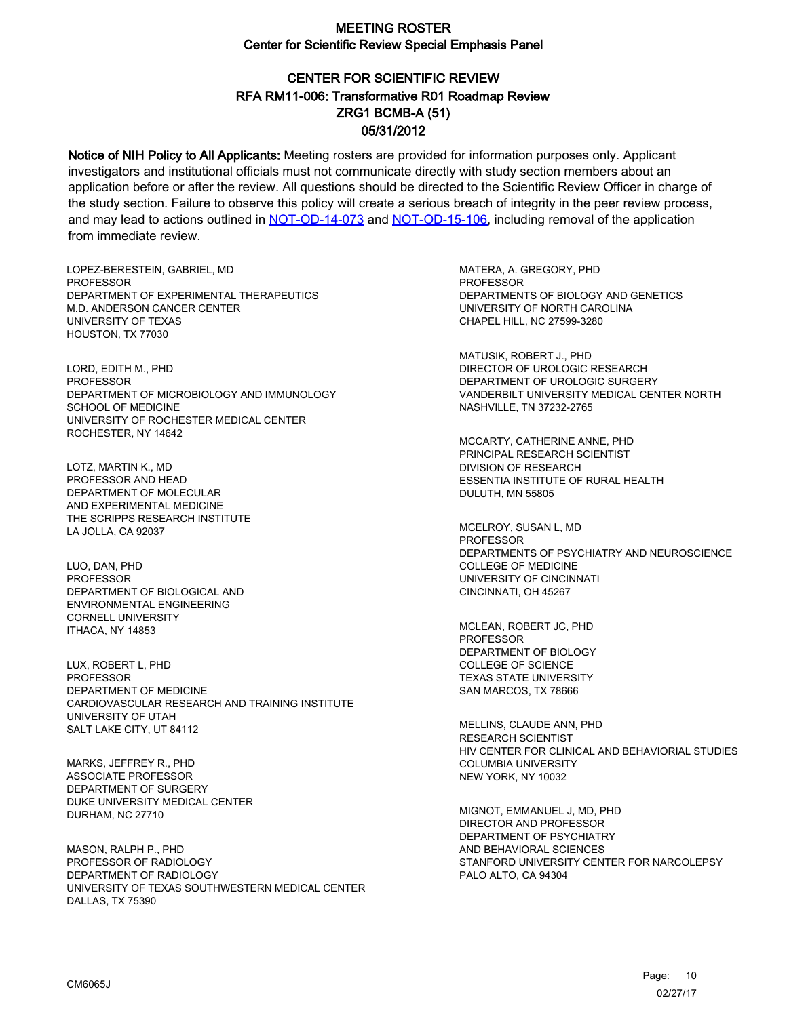# CENTER FOR SCIENTIFIC REVIEW ZRG1 BCMB-A (51) 05/31/2012 RFA RM11-006: Transformative R01 Roadmap Review

Notice of NIH Policy to All Applicants: Meeting rosters are provided for information purposes only. Applicant investigators and institutional officials must not communicate directly with study section members about an application before or after the review. All questions should be directed to the Scientific Review Officer in charge of the study section. Failure to observe this policy will create a serious breach of integrity in the peer review process, and may lead to actions outlined in [NOT-OD-14-073](https://grants.nih.gov/grants/guide/notice-files/NOT-OD-14-073.html) and [NOT-OD-15-106,](https://grants.nih.gov/grants/guide/notice-files/NOT-OD-15-106.html) including removal of the application from immediate review.

LOPEZ-BERESTEIN, GABRIEL, MD **PROFESSOR** DEPARTMENT OF EXPERIMENTAL THERAPEUTICS M.D. ANDERSON CANCER CENTER UNIVERSITY OF TEXAS HOUSTON, TX 77030

LORD, EDITH M., PHD PROFESSOR DEPARTMENT OF MICROBIOLOGY AND IMMUNOLOGY SCHOOL OF MEDICINE UNIVERSITY OF ROCHESTER MEDICAL CENTER ROCHESTER, NY 14642

LOTZ, MARTIN K., MD PROFESSOR AND HEAD DEPARTMENT OF MOLECULAR AND EXPERIMENTAL MEDICINE THE SCRIPPS RESEARCH INSTITUTE LA JOLLA, CA 92037

LUO, DAN, PHD **PROFESSOR** DEPARTMENT OF BIOLOGICAL AND ENVIRONMENTAL ENGINEERING CORNELL UNIVERSITY ITHACA, NY 14853

LUX, ROBERT L, PHD PROFESSOR DEPARTMENT OF MEDICINE CARDIOVASCULAR RESEARCH AND TRAINING INSTITUTE UNIVERSITY OF UTAH SALT LAKE CITY, UT 84112

MARKS, JEFFREY R., PHD ASSOCIATE PROFESSOR DEPARTMENT OF SURGERY DUKE UNIVERSITY MEDICAL CENTER DURHAM, NC 27710

MASON, RALPH P., PHD PROFESSOR OF RADIOLOGY DEPARTMENT OF RADIOLOGY UNIVERSITY OF TEXAS SOUTHWESTERN MEDICAL CENTER DALLAS, TX 75390

MATERA, A. GREGORY, PHD **PROFESSOR** DEPARTMENTS OF BIOLOGY AND GENETICS UNIVERSITY OF NORTH CAROLINA CHAPEL HILL, NC 27599-3280

MATUSIK, ROBERT J., PHD DIRECTOR OF UROLOGIC RESEARCH DEPARTMENT OF UROLOGIC SURGERY VANDERBILT UNIVERSITY MEDICAL CENTER NORTH NASHVILLE, TN 37232-2765

MCCARTY, CATHERINE ANNE, PHD PRINCIPAL RESEARCH SCIENTIST DIVISION OF RESEARCH ESSENTIA INSTITUTE OF RURAL HEALTH DULUTH, MN 55805

MCELROY, SUSAN L, MD **PROFESSOR** DEPARTMENTS OF PSYCHIATRY AND NEUROSCIENCE COLLEGE OF MEDICINE UNIVERSITY OF CINCINNATI CINCINNATI, OH 45267

MCLEAN, ROBERT JC, PHD PROFESSOR DEPARTMENT OF BIOLOGY COLLEGE OF SCIENCE TEXAS STATE UNIVERSITY SAN MARCOS, TX 78666

MELLINS, CLAUDE ANN, PHD RESEARCH SCIENTIST HIV CENTER FOR CLINICAL AND BEHAVIORIAL STUDIES COLUMBIA UNIVERSITY NEW YORK, NY 10032

MIGNOT, EMMANUEL J, MD, PHD DIRECTOR AND PROFESSOR DEPARTMENT OF PSYCHIATRY AND BEHAVIORAL SCIENCES STANFORD UNIVERSITY CENTER FOR NARCOLEPSY PALO ALTO, CA 94304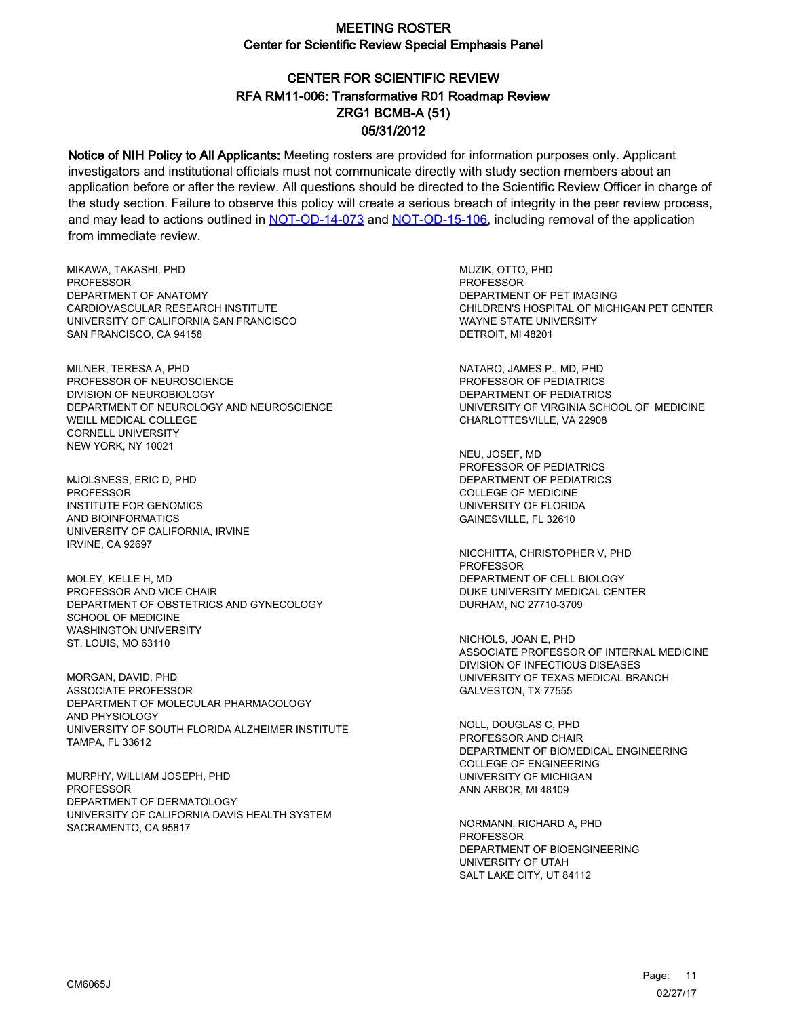# CENTER FOR SCIENTIFIC REVIEW ZRG1 BCMB-A (51) 05/31/2012 RFA RM11-006: Transformative R01 Roadmap Review

Notice of NIH Policy to All Applicants: Meeting rosters are provided for information purposes only. Applicant investigators and institutional officials must not communicate directly with study section members about an application before or after the review. All questions should be directed to the Scientific Review Officer in charge of the study section. Failure to observe this policy will create a serious breach of integrity in the peer review process, and may lead to actions outlined in [NOT-OD-14-073](https://grants.nih.gov/grants/guide/notice-files/NOT-OD-14-073.html) and [NOT-OD-15-106,](https://grants.nih.gov/grants/guide/notice-files/NOT-OD-15-106.html) including removal of the application from immediate review.

MIKAWA, TAKASHI, PHD **PROFESSOR** DEPARTMENT OF ANATOMY CARDIOVASCULAR RESEARCH INSTITUTE UNIVERSITY OF CALIFORNIA SAN FRANCISCO SAN FRANCISCO, CA 94158

MILNER, TERESA A, PHD PROFESSOR OF NEUROSCIENCE DIVISION OF NEUROBIOLOGY DEPARTMENT OF NEUROLOGY AND NEUROSCIENCE WEILL MEDICAL COLLEGE CORNELL UNIVERSITY NEW YORK, NY 10021

MJOLSNESS, ERIC D, PHD PROFESSOR INSTITUTE FOR GENOMICS AND BIOINFORMATICS UNIVERSITY OF CALIFORNIA, IRVINE IRVINE, CA 92697

MOLEY, KELLE H, MD PROFESSOR AND VICE CHAIR DEPARTMENT OF OBSTETRICS AND GYNECOLOGY SCHOOL OF MEDICINE WASHINGTON UNIVERSITY ST. LOUIS, MO 63110

MORGAN, DAVID, PHD ASSOCIATE PROFESSOR DEPARTMENT OF MOLECULAR PHARMACOLOGY AND PHYSIOLOGY UNIVERSITY OF SOUTH FLORIDA ALZHEIMER INSTITUTE TAMPA, FL 33612

MURPHY, WILLIAM JOSEPH, PHD PROFESSOR DEPARTMENT OF DERMATOLOGY UNIVERSITY OF CALIFORNIA DAVIS HEALTH SYSTEM SACRAMENTO, CA 95817

MUZIK, OTTO, PHD PROFESSOR DEPARTMENT OF PET IMAGING CHILDREN'S HOSPITAL OF MICHIGAN PET CENTER WAYNE STATE UNIVERSITY DETROIT, MI 48201

NATARO, JAMES P., MD, PHD PROFESSOR OF PEDIATRICS DEPARTMENT OF PEDIATRICS UNIVERSITY OF VIRGINIA SCHOOL OF MEDICINE CHARLOTTESVILLE, VA 22908

NEU, JOSEF, MD PROFESSOR OF PEDIATRICS DEPARTMENT OF PEDIATRICS COLLEGE OF MEDICINE UNIVERSITY OF FLORIDA GAINESVILLE, FL 32610

NICCHITTA, CHRISTOPHER V, PHD PROFESSOR DEPARTMENT OF CELL BIOLOGY DUKE UNIVERSITY MEDICAL CENTER DURHAM, NC 27710-3709

NICHOLS, JOAN E, PHD ASSOCIATE PROFESSOR OF INTERNAL MEDICINE DIVISION OF INFECTIOUS DISEASES UNIVERSITY OF TEXAS MEDICAL BRANCH GALVESTON, TX 77555

NOLL, DOUGLAS C, PHD PROFESSOR AND CHAIR DEPARTMENT OF BIOMEDICAL ENGINEERING COLLEGE OF ENGINEERING UNIVERSITY OF MICHIGAN ANN ARBOR, MI 48109

NORMANN, RICHARD A, PHD **PROFESSOR** DEPARTMENT OF BIOENGINEERING UNIVERSITY OF UTAH SALT LAKE CITY, UT 84112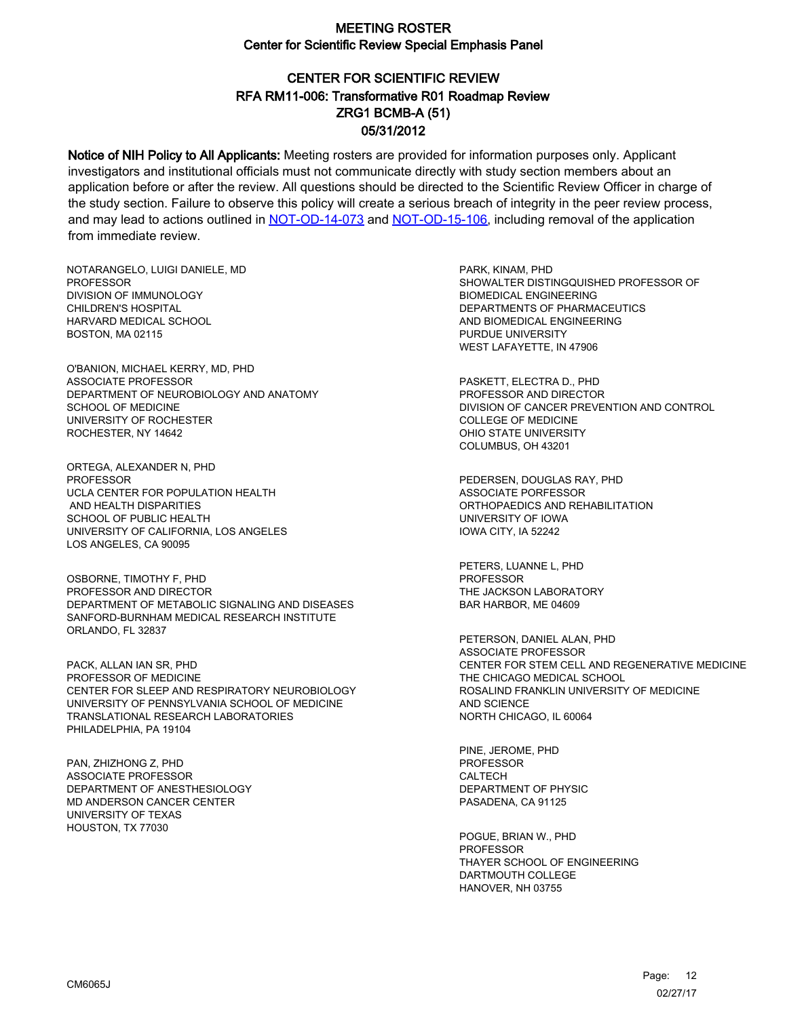# CENTER FOR SCIENTIFIC REVIEW ZRG1 BCMB-A (51) 05/31/2012 RFA RM11-006: Transformative R01 Roadmap Review

Notice of NIH Policy to All Applicants: Meeting rosters are provided for information purposes only. Applicant investigators and institutional officials must not communicate directly with study section members about an application before or after the review. All questions should be directed to the Scientific Review Officer in charge of the study section. Failure to observe this policy will create a serious breach of integrity in the peer review process, and may lead to actions outlined in [NOT-OD-14-073](https://grants.nih.gov/grants/guide/notice-files/NOT-OD-14-073.html) and [NOT-OD-15-106,](https://grants.nih.gov/grants/guide/notice-files/NOT-OD-15-106.html) including removal of the application from immediate review.

NOTARANGELO, LUIGI DANIELE, MD PROFESSOR DIVISION OF IMMUNOLOGY CHILDREN'S HOSPITAL HARVARD MEDICAL SCHOOL BOSTON, MA 02115

O'BANION, MICHAEL KERRY, MD, PHD ASSOCIATE PROFESSOR DEPARTMENT OF NEUROBIOLOGY AND ANATOMY SCHOOL OF MEDICINE UNIVERSITY OF ROCHESTER ROCHESTER, NY 14642

ORTEGA, ALEXANDER N, PHD **PROFESSOR** UCLA CENTER FOR POPULATION HEALTH AND HEALTH DISPARITIES SCHOOL OF PUBLIC HEALTH UNIVERSITY OF CALIFORNIA, LOS ANGELES LOS ANGELES, CA 90095

OSBORNE, TIMOTHY F, PHD PROFESSOR AND DIRECTOR DEPARTMENT OF METABOLIC SIGNALING AND DISEASES SANFORD-BURNHAM MEDICAL RESEARCH INSTITUTE ORLANDO, FL 32837

PACK, ALLAN IAN SR, PHD PROFESSOR OF MEDICINE CENTER FOR SLEEP AND RESPIRATORY NEUROBIOLOGY UNIVERSITY OF PENNSYLVANIA SCHOOL OF MEDICINE TRANSLATIONAL RESEARCH LABORATORIES PHILADELPHIA, PA 19104

PAN, ZHIZHONG Z, PHD ASSOCIATE PROFESSOR DEPARTMENT OF ANESTHESIOLOGY MD ANDERSON CANCER CENTER UNIVERSITY OF TEXAS HOUSTON, TX 77030

PARK, KINAM, PHD SHOWALTER DISTINGQUISHED PROFESSOR OF BIOMEDICAL ENGINEERING DEPARTMENTS OF PHARMACEUTICS AND BIOMEDICAL ENGINEERING PURDUE UNIVERSITY WEST LAFAYETTE, IN 47906

PASKETT, ELECTRA D., PHD PROFESSOR AND DIRECTOR DIVISION OF CANCER PREVENTION AND CONTROL COLLEGE OF MEDICINE OHIO STATE UNIVERSITY COLUMBUS, OH 43201

PEDERSEN, DOUGLAS RAY, PHD ASSOCIATE PORFESSOR ORTHOPAEDICS AND REHABILITATION UNIVERSITY OF IOWA IOWA CITY, IA 52242

PETERS, LUANNE L, PHD PROFESSOR THE JACKSON LABORATORY BAR HARBOR, ME 04609

PETERSON, DANIEL ALAN, PHD ASSOCIATE PROFESSOR CENTER FOR STEM CELL AND REGENERATIVE MEDICINE THE CHICAGO MEDICAL SCHOOL ROSALIND FRANKLIN UNIVERSITY OF MEDICINE AND SCIENCE NORTH CHICAGO, IL 60064

PINE, JEROME, PHD PROFESSOR CALTECH DEPARTMENT OF PHYSIC PASADENA, CA 91125

POGUE, BRIAN W., PHD PROFESSOR THAYER SCHOOL OF ENGINEERING DARTMOUTH COLLEGE HANOVER, NH 03755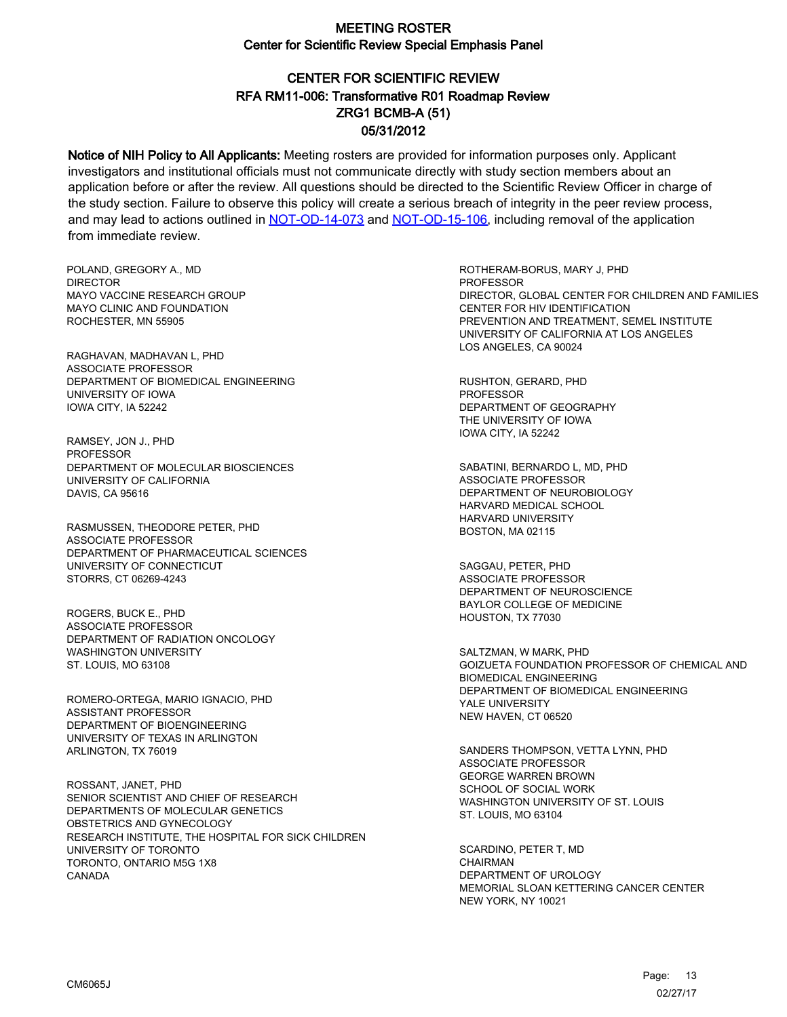# CENTER FOR SCIENTIFIC REVIEW ZRG1 BCMB-A (51) 05/31/2012 RFA RM11-006: Transformative R01 Roadmap Review

Notice of NIH Policy to All Applicants: Meeting rosters are provided for information purposes only. Applicant investigators and institutional officials must not communicate directly with study section members about an application before or after the review. All questions should be directed to the Scientific Review Officer in charge of the study section. Failure to observe this policy will create a serious breach of integrity in the peer review process, and may lead to actions outlined in [NOT-OD-14-073](https://grants.nih.gov/grants/guide/notice-files/NOT-OD-14-073.html) and [NOT-OD-15-106,](https://grants.nih.gov/grants/guide/notice-files/NOT-OD-15-106.html) including removal of the application from immediate review.

POLAND, GREGORY A., MD DIRECTOR MAYO VACCINE RESEARCH GROUP MAYO CLINIC AND FOUNDATION ROCHESTER, MN 55905

RAGHAVAN, MADHAVAN L, PHD ASSOCIATE PROFESSOR DEPARTMENT OF BIOMEDICAL ENGINEERING UNIVERSITY OF IOWA IOWA CITY, IA 52242

RAMSEY, JON J., PHD PROFESSOR DEPARTMENT OF MOLECULAR BIOSCIENCES UNIVERSITY OF CALIFORNIA DAVIS, CA 95616

RASMUSSEN, THEODORE PETER, PHD ASSOCIATE PROFESSOR DEPARTMENT OF PHARMACEUTICAL SCIENCES UNIVERSITY OF CONNECTICUT STORRS, CT 06269-4243

ROGERS, BUCK E., PHD ASSOCIATE PROFESSOR DEPARTMENT OF RADIATION ONCOLOGY WASHINGTON UNIVERSITY ST. LOUIS, MO 63108

ROMERO-ORTEGA, MARIO IGNACIO, PHD ASSISTANT PROFESSOR DEPARTMENT OF BIOENGINEERING UNIVERSITY OF TEXAS IN ARLINGTON ARLINGTON, TX 76019

ROSSANT, JANET, PHD SENIOR SCIENTIST AND CHIEF OF RESEARCH DEPARTMENTS OF MOLECULAR GENETICS OBSTETRICS AND GYNECOLOGY RESEARCH INSTITUTE, THE HOSPITAL FOR SICK CHILDREN UNIVERSITY OF TORONTO TORONTO, ONTARIO M5G 1X8 CANADA

ROTHERAM-BORUS, MARY J, PHD **PROFESSOR** DIRECTOR, GLOBAL CENTER FOR CHILDREN AND FAMILIES CENTER FOR HIV IDENTIFICATION PREVENTION AND TREATMENT, SEMEL INSTITUTE UNIVERSITY OF CALIFORNIA AT LOS ANGELES LOS ANGELES, CA 90024

RUSHTON, GERARD, PHD PROFESSOR DEPARTMENT OF GEOGRAPHY THE UNIVERSITY OF IOWA IOWA CITY, IA 52242

SABATINI, BERNARDO L, MD, PHD ASSOCIATE PROFESSOR DEPARTMENT OF NEUROBIOLOGY HARVARD MEDICAL SCHOOL HARVARD UNIVERSITY BOSTON, MA 02115

SAGGAU, PETER, PHD ASSOCIATE PROFESSOR DEPARTMENT OF NEUROSCIENCE BAYLOR COLLEGE OF MEDICINE HOUSTON, TX 77030

SALTZMAN, W MARK, PHD GOIZUETA FOUNDATION PROFESSOR OF CHEMICAL AND BIOMEDICAL ENGINEERING DEPARTMENT OF BIOMEDICAL ENGINEERING YALE UNIVERSITY NEW HAVEN, CT 06520

SANDERS THOMPSON, VETTA LYNN, PHD ASSOCIATE PROFESSOR GEORGE WARREN BROWN SCHOOL OF SOCIAL WORK WASHINGTON UNIVERSITY OF ST. LOUIS ST. LOUIS, MO 63104

SCARDINO, PETER T, MD **CHAIRMAN** DEPARTMENT OF UROLOGY MEMORIAL SLOAN KETTERING CANCER CENTER NEW YORK, NY 10021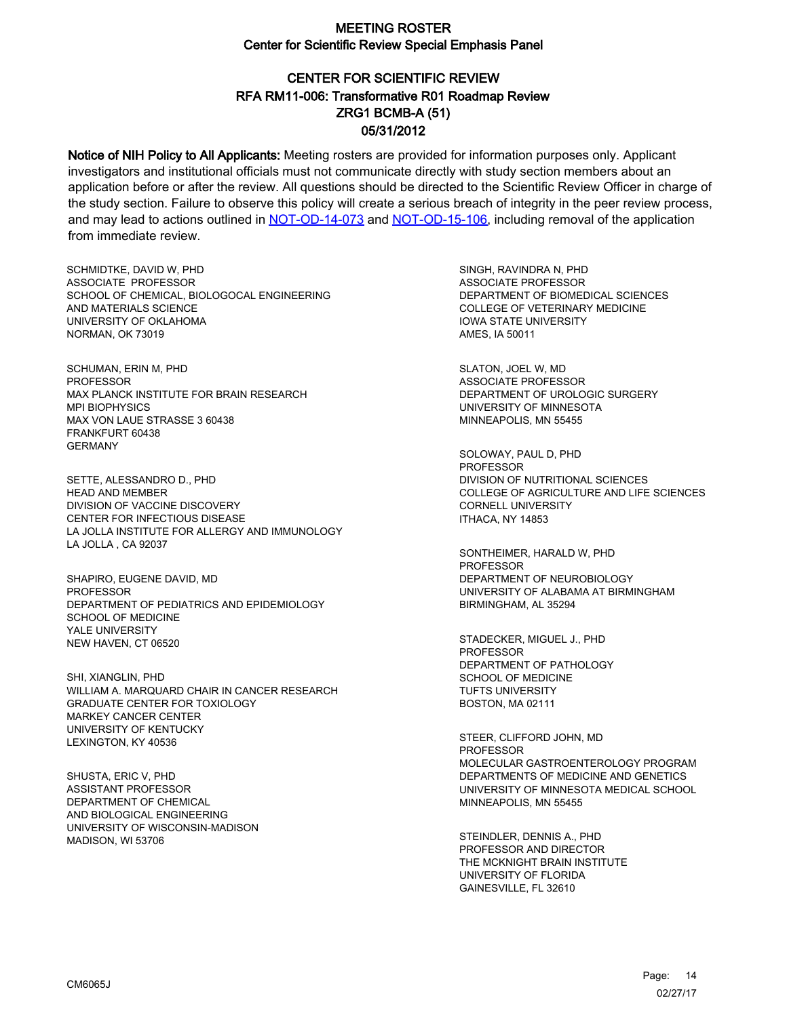# CENTER FOR SCIENTIFIC REVIEW ZRG1 BCMB-A (51) 05/31/2012 RFA RM11-006: Transformative R01 Roadmap Review

Notice of NIH Policy to All Applicants: Meeting rosters are provided for information purposes only. Applicant investigators and institutional officials must not communicate directly with study section members about an application before or after the review. All questions should be directed to the Scientific Review Officer in charge of the study section. Failure to observe this policy will create a serious breach of integrity in the peer review process, and may lead to actions outlined in [NOT-OD-14-073](https://grants.nih.gov/grants/guide/notice-files/NOT-OD-14-073.html) and [NOT-OD-15-106,](https://grants.nih.gov/grants/guide/notice-files/NOT-OD-15-106.html) including removal of the application from immediate review.

SCHMIDTKE, DAVID W, PHD ASSOCIATE PROFESSOR SCHOOL OF CHEMICAL, BIOLOGOCAL ENGINEERING AND MATERIALS SCIENCE UNIVERSITY OF OKLAHOMA NORMAN, OK 73019

SCHUMAN, ERIN M, PHD PROFESSOR MAX PLANCK INSTITUTE FOR BRAIN RESEARCH MPI BIOPHYSICS MAX VON LAUE STRASSE 3 60438 FRANKFURT 60438 GERMANY

SETTE, ALESSANDRO D., PHD HEAD AND MEMBER DIVISION OF VACCINE DISCOVERY CENTER FOR INFECTIOUS DISEASE LA JOLLA INSTITUTE FOR ALLERGY AND IMMUNOLOGY LA JOLLA , CA 92037

SHAPIRO, EUGENE DAVID, MD **PROFESSOR** DEPARTMENT OF PEDIATRICS AND EPIDEMIOLOGY SCHOOL OF MEDICINE YALE UNIVERSITY NEW HAVEN, CT 06520

SHI, XIANGLIN, PHD WILLIAM A. MARQUARD CHAIR IN CANCER RESEARCH GRADUATE CENTER FOR TOXIOLOGY MARKEY CANCER CENTER UNIVERSITY OF KENTUCKY LEXINGTON, KY 40536

SHUSTA, ERIC V, PHD ASSISTANT PROFESSOR DEPARTMENT OF CHEMICAL AND BIOLOGICAL ENGINEERING UNIVERSITY OF WISCONSIN-MADISON MADISON, WI 53706

SINGH, RAVINDRA N, PHD ASSOCIATE PROFESSOR DEPARTMENT OF BIOMEDICAL SCIENCES COLLEGE OF VETERINARY MEDICINE IOWA STATE UNIVERSITY AMES, IA 50011

SLATON, JOEL W, MD ASSOCIATE PROFESSOR DEPARTMENT OF UROLOGIC SURGERY UNIVERSITY OF MINNESOTA MINNEAPOLIS, MN 55455

SOLOWAY, PAUL D, PHD PROFESSOR DIVISION OF NUTRITIONAL SCIENCES COLLEGE OF AGRICULTURE AND LIFE SCIENCES CORNELL UNIVERSITY ITHACA, NY 14853

SONTHEIMER, HARALD W, PHD PROFESSOR DEPARTMENT OF NEUROBIOLOGY UNIVERSITY OF ALABAMA AT BIRMINGHAM BIRMINGHAM, AL 35294

STADECKER, MIGUEL J., PHD PROFESSOR DEPARTMENT OF PATHOLOGY SCHOOL OF MEDICINE TUFTS UNIVERSITY BOSTON, MA 02111

STEER, CLIFFORD JOHN, MD **PROFESSOR** MOLECULAR GASTROENTEROLOGY PROGRAM DEPARTMENTS OF MEDICINE AND GENETICS UNIVERSITY OF MINNESOTA MEDICAL SCHOOL MINNEAPOLIS, MN 55455

STEINDLER, DENNIS A., PHD PROFESSOR AND DIRECTOR THE MCKNIGHT BRAIN INSTITUTE UNIVERSITY OF FLORIDA GAINESVILLE, FL 32610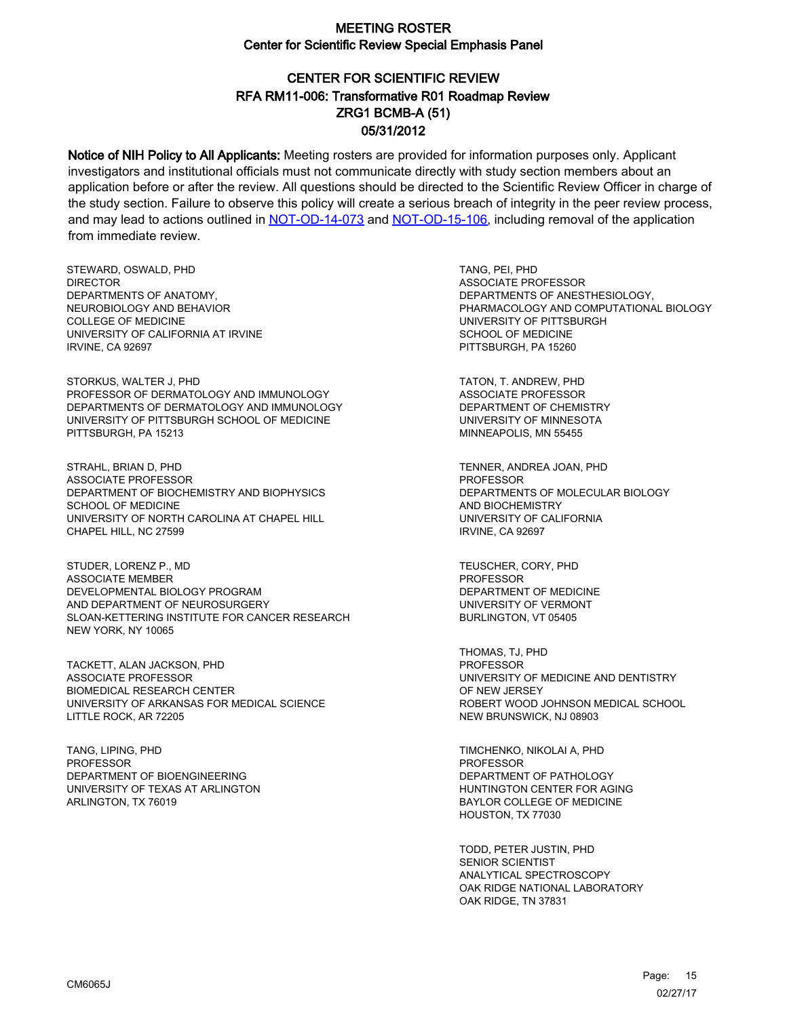## CENTER FOR SCIENTIFIC REVIEW ZRG1 BCMB-A (51) 05/31/2012 RFA RM11-006: Transformative R01 Roadmap Review

Notice of NIH Policy to All Applicants: Meeting rosters are provided for information purposes only. Applicant investigators and institutional officials must not communicate directly with study section members about an application before or after the review. All questions should be directed to the Scientific Review Officer in charge of the study section. Failure to observe this policy will create a serious breach of integrity in the peer review process, and may lead to actions outlined in [NOT-OD-14-073](https://grants.nih.gov/grants/guide/notice-files/NOT-OD-14-073.html) and [NOT-OD-15-106,](https://grants.nih.gov/grants/guide/notice-files/NOT-OD-15-106.html) including removal of the application from immediate review.

STEWARD, OSWALD, PHD DIRECTOR DEPARTMENTS OF ANATOMY, NEUROBIOLOGY AND BEHAVIOR COLLEGE OF MEDICINE UNIVERSITY OF CALIFORNIA AT IRVINE IRVINE, CA 92697

STORKUS, WALTER J, PHD PROFESSOR OF DERMATOLOGY AND IMMUNOLOGY DEPARTMENTS OF DERMATOLOGY AND IMMUNOLOGY UNIVERSITY OF PITTSBURGH SCHOOL OF MEDICINE PITTSBURGH, PA 15213

STRAHL, BRIAN D, PHD ASSOCIATE PROFESSOR DEPARTMENT OF BIOCHEMISTRY AND BIOPHYSICS SCHOOL OF MEDICINE UNIVERSITY OF NORTH CAROLINA AT CHAPEL HILL CHAPEL HILL, NC 27599

STUDER, LORENZ P., MD ASSOCIATE MEMBER DEVELOPMENTAL BIOLOGY PROGRAM AND DEPARTMENT OF NEUROSURGERY SLOAN-KETTERING INSTITUTE FOR CANCER RESEARCH NEW YORK, NY 10065

TACKETT, ALAN JACKSON, PHD ASSOCIATE PROFESSOR BIOMEDICAL RESEARCH CENTER UNIVERSITY OF ARKANSAS FOR MEDICAL SCIENCE LITTLE ROCK, AR 72205

TANG, LIPING, PHD PROFESSOR DEPARTMENT OF BIOENGINEERING UNIVERSITY OF TEXAS AT ARLINGTON ARLINGTON, TX 76019

TANG, PEI, PHD ASSOCIATE PROFESSOR DEPARTMENTS OF ANESTHESIOLOGY, PHARMACOLOGY AND COMPUTATIONAL BIOLOGY UNIVERSITY OF PITTSBURGH SCHOOL OF MEDICINE PITTSBURGH, PA 15260

TATON, T. ANDREW, PHD ASSOCIATE PROFESSOR DEPARTMENT OF CHEMISTRY UNIVERSITY OF MINNESOTA MINNEAPOLIS, MN 55455

TENNER, ANDREA JOAN, PHD **PROFESSOR** DEPARTMENTS OF MOLECULAR BIOLOGY AND BIOCHEMISTRY UNIVERSITY OF CALIFORNIA IRVINE, CA 92697

TEUSCHER, CORY, PHD PROFESSOR DEPARTMENT OF MEDICINE UNIVERSITY OF VERMONT BURLINGTON, VT 05405

THOMAS, TJ, PHD PROFESSOR UNIVERSITY OF MEDICINE AND DENTISTRY OF NEW JERSEY ROBERT WOOD JOHNSON MEDICAL SCHOOL NEW BRUNSWICK, NJ 08903

TIMCHENKO, NIKOLAI A, PHD PROFESSOR DEPARTMENT OF PATHOLOGY HUNTINGTON CENTER FOR AGING BAYLOR COLLEGE OF MEDICINE HOUSTON, TX 77030

TODD, PETER JUSTIN, PHD SENIOR SCIENTIST ANALYTICAL SPECTROSCOPY OAK RIDGE NATIONAL LABORATORY OAK RIDGE, TN 37831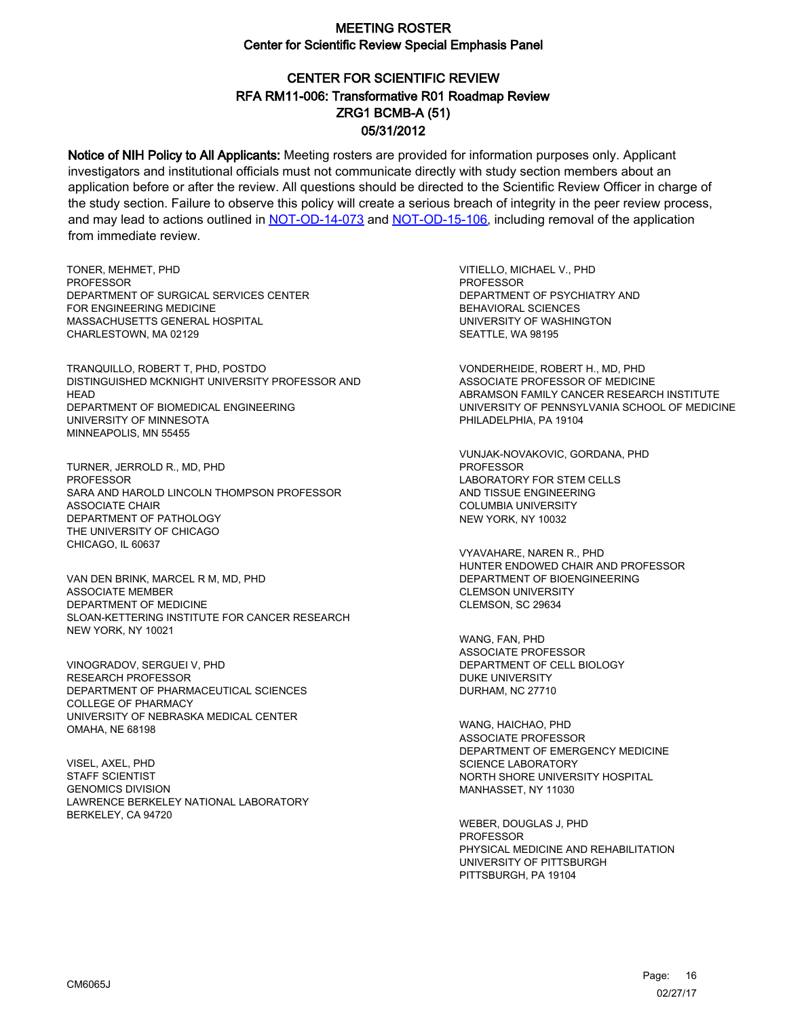# CENTER FOR SCIENTIFIC REVIEW ZRG1 BCMB-A (51) 05/31/2012 RFA RM11-006: Transformative R01 Roadmap Review

Notice of NIH Policy to All Applicants: Meeting rosters are provided for information purposes only. Applicant investigators and institutional officials must not communicate directly with study section members about an application before or after the review. All questions should be directed to the Scientific Review Officer in charge of the study section. Failure to observe this policy will create a serious breach of integrity in the peer review process, and may lead to actions outlined in [NOT-OD-14-073](https://grants.nih.gov/grants/guide/notice-files/NOT-OD-14-073.html) and [NOT-OD-15-106,](https://grants.nih.gov/grants/guide/notice-files/NOT-OD-15-106.html) including removal of the application from immediate review.

TONER, MEHMET, PHD **PROFESSOR** DEPARTMENT OF SURGICAL SERVICES CENTER FOR ENGINEERING MEDICINE MASSACHUSETTS GENERAL HOSPITAL CHARLESTOWN, MA 02129

TRANQUILLO, ROBERT T, PHD, POSTDO DISTINGUISHED MCKNIGHT UNIVERSITY PROFESSOR AND **HEAD** DEPARTMENT OF BIOMEDICAL ENGINEERING UNIVERSITY OF MINNESOTA MINNEAPOLIS, MN 55455

TURNER, JERROLD R., MD, PHD **PROFESSOR** SARA AND HAROLD LINCOLN THOMPSON PROFESSOR ASSOCIATE CHAIR DEPARTMENT OF PATHOLOGY THE UNIVERSITY OF CHICAGO CHICAGO, IL 60637

VAN DEN BRINK, MARCEL R M, MD, PHD ASSOCIATE MEMBER DEPARTMENT OF MEDICINE SLOAN-KETTERING INSTITUTE FOR CANCER RESEARCH NEW YORK, NY 10021

VINOGRADOV, SERGUEI V, PHD RESEARCH PROFESSOR DEPARTMENT OF PHARMACEUTICAL SCIENCES COLLEGE OF PHARMACY UNIVERSITY OF NEBRASKA MEDICAL CENTER OMAHA, NE 68198

VISEL, AXEL, PHD STAFF SCIENTIST GENOMICS DIVISION LAWRENCE BERKELEY NATIONAL LABORATORY BERKELEY, CA 94720

VITIELLO, MICHAEL V., PHD PROFESSOR DEPARTMENT OF PSYCHIATRY AND BEHAVIORAL SCIENCES UNIVERSITY OF WASHINGTON SEATTLE, WA 98195

VONDERHEIDE, ROBERT H., MD, PHD ASSOCIATE PROFESSOR OF MEDICINE ABRAMSON FAMILY CANCER RESEARCH INSTITUTE UNIVERSITY OF PENNSYLVANIA SCHOOL OF MEDICINE PHILADELPHIA, PA 19104

VUNJAK-NOVAKOVIC, GORDANA, PHD PROFESSOR LABORATORY FOR STEM CELLS AND TISSUE ENGINEERING COLUMBIA UNIVERSITY NEW YORK, NY 10032

VYAVAHARE, NAREN R., PHD HUNTER ENDOWED CHAIR AND PROFESSOR DEPARTMENT OF BIOENGINEERING CLEMSON UNIVERSITY CLEMSON, SC 29634

WANG, FAN, PHD ASSOCIATE PROFESSOR DEPARTMENT OF CELL BIOLOGY DUKE UNIVERSITY DURHAM, NC 27710

WANG, HAICHAO, PHD ASSOCIATE PROFESSOR DEPARTMENT OF EMERGENCY MEDICINE SCIENCE LABORATORY NORTH SHORE UNIVERSITY HOSPITAL MANHASSET, NY 11030

WEBER, DOUGLAS J, PHD **PROFESSOR** PHYSICAL MEDICINE AND REHABILITATION UNIVERSITY OF PITTSBURGH PITTSBURGH, PA 19104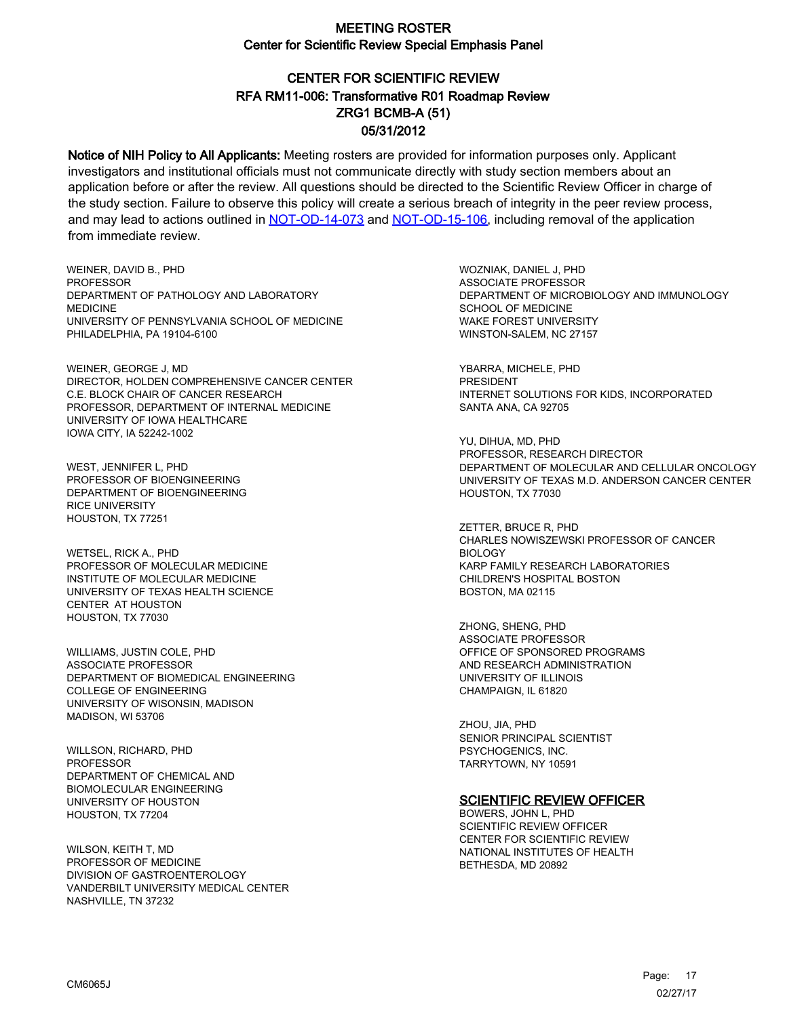# CENTER FOR SCIENTIFIC REVIEW ZRG1 BCMB-A (51) 05/31/2012 RFA RM11-006: Transformative R01 Roadmap Review

Notice of NIH Policy to All Applicants: Meeting rosters are provided for information purposes only. Applicant investigators and institutional officials must not communicate directly with study section members about an application before or after the review. All questions should be directed to the Scientific Review Officer in charge of the study section. Failure to observe this policy will create a serious breach of integrity in the peer review process, and may lead to actions outlined in [NOT-OD-14-073](https://grants.nih.gov/grants/guide/notice-files/NOT-OD-14-073.html) and [NOT-OD-15-106,](https://grants.nih.gov/grants/guide/notice-files/NOT-OD-15-106.html) including removal of the application from immediate review.

WEINER, DAVID B., PHD **PROFESSOR** DEPARTMENT OF PATHOLOGY AND LABORATORY MEDICINE UNIVERSITY OF PENNSYLVANIA SCHOOL OF MEDICINE PHILADELPHIA, PA 19104-6100

WEINER, GEORGE J, MD DIRECTOR, HOLDEN COMPREHENSIVE CANCER CENTER C.E. BLOCK CHAIR OF CANCER RESEARCH PROFESSOR, DEPARTMENT OF INTERNAL MEDICINE UNIVERSITY OF IOWA HEALTHCARE IOWA CITY, IA 52242-1002

WEST, JENNIFER L, PHD PROFESSOR OF BIOENGINEERING DEPARTMENT OF BIOENGINEERING RICE UNIVERSITY HOUSTON, TX 77251

WETSEL, RICK A., PHD PROFESSOR OF MOLECULAR MEDICINE INSTITUTE OF MOLECULAR MEDICINE UNIVERSITY OF TEXAS HEALTH SCIENCE CENTER AT HOUSTON HOUSTON, TX 77030

WILLIAMS, JUSTIN COLE, PHD ASSOCIATE PROFESSOR DEPARTMENT OF BIOMEDICAL ENGINEERING COLLEGE OF ENGINEERING UNIVERSITY OF WISONSIN, MADISON MADISON, WI 53706

WILLSON, RICHARD, PHD PROFESSOR DEPARTMENT OF CHEMICAL AND BIOMOLECULAR ENGINEERING UNIVERSITY OF HOUSTON HOUSTON, TX 77204

WILSON, KEITH T, MD PROFESSOR OF MEDICINE DIVISION OF GASTROENTEROLOGY VANDERBILT UNIVERSITY MEDICAL CENTER NASHVILLE, TN 37232

WOZNIAK, DANIEL J, PHD ASSOCIATE PROFESSOR DEPARTMENT OF MICROBIOLOGY AND IMMUNOLOGY SCHOOL OF MEDICINE WAKE FOREST UNIVERSITY WINSTON-SALEM, NC 27157

YBARRA, MICHELE, PHD PRESIDENT INTERNET SOLUTIONS FOR KIDS, INCORPORATED SANTA ANA, CA 92705

YU, DIHUA, MD, PHD PROFESSOR, RESEARCH DIRECTOR DEPARTMENT OF MOLECULAR AND CELLULAR ONCOLOGY UNIVERSITY OF TEXAS M.D. ANDERSON CANCER CENTER HOUSTON, TX 77030

ZETTER, BRUCE R, PHD CHARLES NOWISZEWSKI PROFESSOR OF CANCER BIOLOGY KARP FAMILY RESEARCH LABORATORIES CHILDREN'S HOSPITAL BOSTON BOSTON, MA 02115

ZHONG, SHENG, PHD ASSOCIATE PROFESSOR OFFICE OF SPONSORED PROGRAMS AND RESEARCH ADMINISTRATION UNIVERSITY OF ILLINOIS CHAMPAIGN, IL 61820

ZHOU, JIA, PHD SENIOR PRINCIPAL SCIENTIST PSYCHOGENICS, INC. TARRYTOWN, NY 10591

#### SCIENTIFIC REVIEW OFFICER

BOWERS, JOHN L, PHD SCIENTIFIC REVIEW OFFICER CENTER FOR SCIENTIFIC REVIEW NATIONAL INSTITUTES OF HEALTH BETHESDA, MD 20892